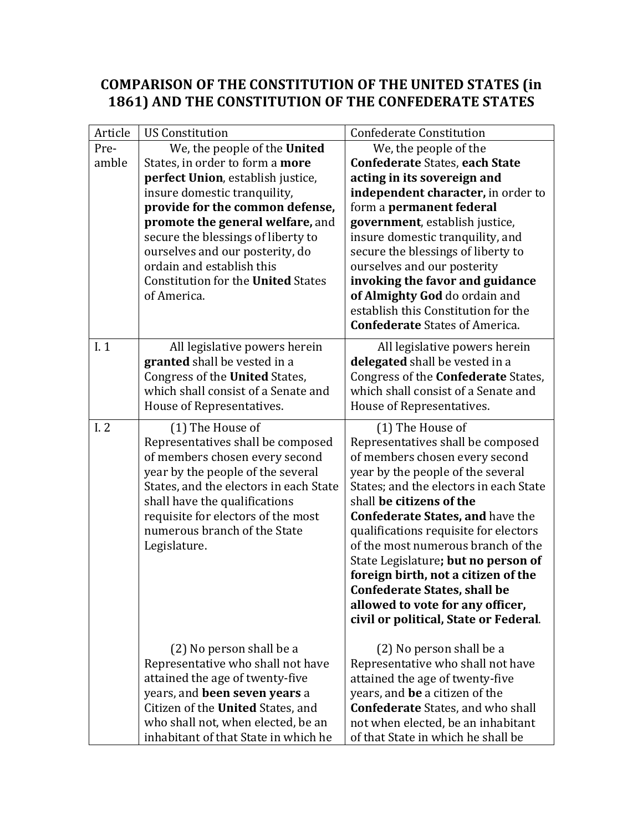## **COMPARISON OF THE CONSTITUTION OF THE UNITED STATES (in**  1861) AND THE CONSTITUTION OF THE CONFEDERATE STATES

| Article | <b>US Constitution</b>                    | <b>Confederate Constitution</b>            |
|---------|-------------------------------------------|--------------------------------------------|
| Pre-    | We, the people of the United              | We, the people of the                      |
| amble   | States, in order to form a more           | <b>Confederate States, each State</b>      |
|         | perfect Union, establish justice,         | acting in its sovereign and                |
|         | insure domestic tranquility,              | independent character, in order to         |
|         | provide for the common defense,           | form a permanent federal                   |
|         | promote the general welfare, and          | government, establish justice,             |
|         | secure the blessings of liberty to        | insure domestic tranquility, and           |
|         | ourselves and our posterity, do           | secure the blessings of liberty to         |
|         | ordain and establish this                 | ourselves and our posterity                |
|         | <b>Constitution for the United States</b> | invoking the favor and guidance            |
|         | of America.                               | of Almighty God do ordain and              |
|         |                                           | establish this Constitution for the        |
|         |                                           | <b>Confederate States of America.</b>      |
| I.1     | All legislative powers herein             | All legislative powers herein              |
|         | granted shall be vested in a              | delegated shall be vested in a             |
|         | Congress of the United States,            | Congress of the <b>Confederate</b> States, |
|         | which shall consist of a Senate and       | which shall consist of a Senate and        |
|         | House of Representatives.                 | House of Representatives.                  |
| I.2     | (1) The House of                          | (1) The House of                           |
|         | Representatives shall be composed         | Representatives shall be composed          |
|         | of members chosen every second            | of members chosen every second             |
|         | year by the people of the several         | year by the people of the several          |
|         | States, and the electors in each State    | States; and the electors in each State     |
|         | shall have the qualifications             | shall be citizens of the                   |
|         | requisite for electors of the most        | <b>Confederate States, and have the</b>    |
|         | numerous branch of the State              | qualifications requisite for electors      |
|         | Legislature.                              | of the most numerous branch of the         |
|         |                                           | State Legislature; but no person of        |
|         |                                           | foreign birth, not a citizen of the        |
|         |                                           | <b>Confederate States, shall be</b>        |
|         |                                           | allowed to vote for any officer,           |
|         |                                           | civil or political, State or Federal.      |
|         | (2) No person shall be a                  | (2) No person shall be a                   |
|         | Representative who shall not have         | Representative who shall not have          |
|         | attained the age of twenty-five           | attained the age of twenty-five            |
|         | years, and been seven years a             | years, and be a citizen of the             |
|         | Citizen of the United States, and         | <b>Confederate</b> States, and who shall   |
|         | who shall not, when elected, be an        | not when elected, be an inhabitant         |
|         | inhabitant of that State in which he      | of that State in which he shall be         |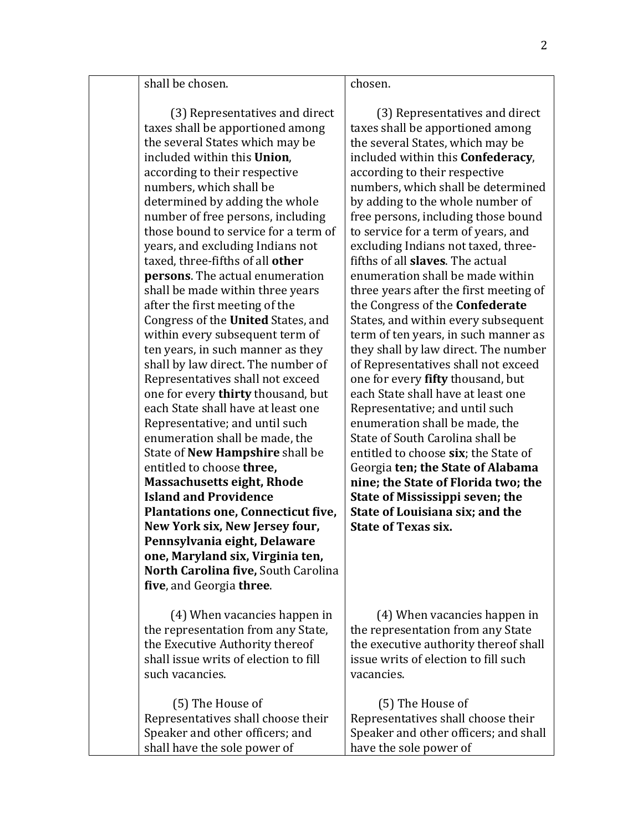shall be chosen.

(3) Representatives and direct taxes shall be apportioned among the several States which may be included within this **Union**, according to their respective numbers, which shall be determined by adding the whole number of free persons, including those bound to service for a term of years, and excluding Indians not taxed, three-fifths of all **other persons**. The actual enumeration shall be made within three years after the first meeting of the Congress of the **United** States, and within every subsequent term of ten years, in such manner as they shall by law direct. The number of Representatives shall not exceed one for every **thirty** thousand, but each State shall have at least one Representative; and until such enumeration shall be made, the **State of New Hampshire shall be** entitled to choose **three**, **Massachusetts eight, Rhode Island and Providence Plantations one, Connecticut five,** New York six, New Jersey four, **Pennsylvania eight, Delaware one, Maryland six, Virginia ten, North Carolina five, South Carolina five**, and Georgia **three**.

(4) When vacancies happen in the representation from any State, the Executive Authority thereof shall issue writs of election to fill such vacancies.

(5) The House of Representatives shall choose their Speaker and other officers; and shall have the sole power of (5) The House of have the sole power of

## chosen.

(3) Representatives and direct taxes shall be apportioned among the several States, which may be included within this **Confederacy**, according to their respective numbers, which shall be determined by adding to the whole number of free persons, including those bound to service for a term of years, and excluding Indians not taxed, threefifths of all **slaves**. The actual enumeration shall be made within three years after the first meeting of the Congress of the **Confederate** States, and within every subsequent term of ten years, in such manner as they shall by law direct. The number of Representatives shall not exceed one for every **fifty** thousand, but each State shall have at least one Representative: and until such enumeration shall be made, the State of South Carolina shall be entitled to choose **six**; the State of Georgia **ten; the State of Alabama nine: the State of Florida two: the State of Mississippi seven; the State of Louisiana six; and the State of Texas six.** 

(4) When vacancies happen in the representation from any State the executive authority thereof shall issue writs of election to fill such vacancies.

Representatives shall choose their Speaker and other officers; and shall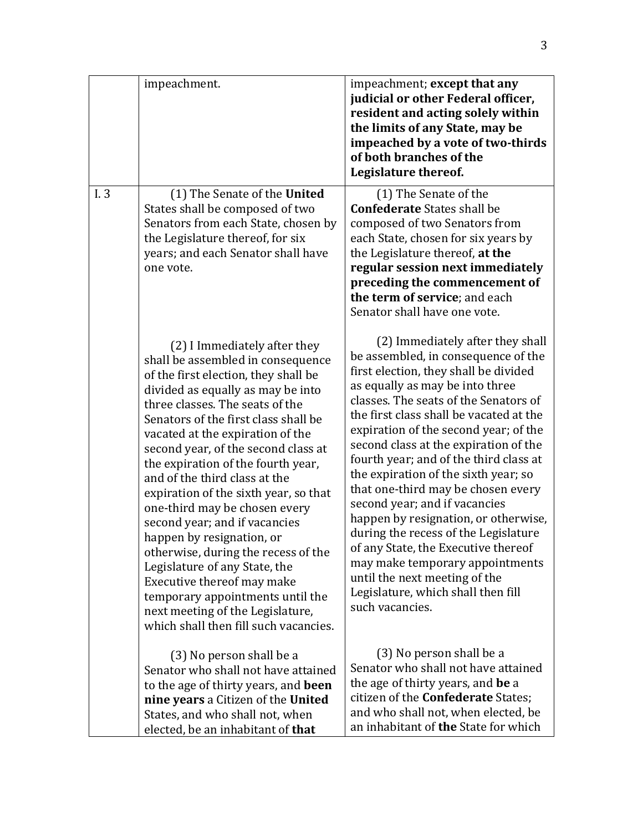|      | impeachment.                                                                                                                                                                                                                                                                                                                                                                                                                                                                                                                                                                                                                                                                                                                               | impeachment; except that any<br>judicial or other Federal officer,<br>resident and acting solely within<br>the limits of any State, may be<br>impeached by a vote of two-thirds<br>of both branches of the<br>Legislature thereof.                                                                                                                                                                                                                                                                                                                                                                                                                                                                                                     |
|------|--------------------------------------------------------------------------------------------------------------------------------------------------------------------------------------------------------------------------------------------------------------------------------------------------------------------------------------------------------------------------------------------------------------------------------------------------------------------------------------------------------------------------------------------------------------------------------------------------------------------------------------------------------------------------------------------------------------------------------------------|----------------------------------------------------------------------------------------------------------------------------------------------------------------------------------------------------------------------------------------------------------------------------------------------------------------------------------------------------------------------------------------------------------------------------------------------------------------------------------------------------------------------------------------------------------------------------------------------------------------------------------------------------------------------------------------------------------------------------------------|
| I. 3 | (1) The Senate of the United<br>States shall be composed of two<br>Senators from each State, chosen by<br>the Legislature thereof, for six<br>years; and each Senator shall have<br>one vote.                                                                                                                                                                                                                                                                                                                                                                                                                                                                                                                                              | (1) The Senate of the<br><b>Confederate States shall be</b><br>composed of two Senators from<br>each State, chosen for six years by<br>the Legislature thereof, at the<br>regular session next immediately<br>preceding the commencement of<br>the term of service; and each<br>Senator shall have one vote.                                                                                                                                                                                                                                                                                                                                                                                                                           |
|      | (2) I Immediately after they<br>shall be assembled in consequence<br>of the first election, they shall be<br>divided as equally as may be into<br>three classes. The seats of the<br>Senators of the first class shall be<br>vacated at the expiration of the<br>second year, of the second class at<br>the expiration of the fourth year,<br>and of the third class at the<br>expiration of the sixth year, so that<br>one-third may be chosen every<br>second year; and if vacancies<br>happen by resignation, or<br>otherwise, during the recess of the<br>Legislature of any State, the<br>Executive thereof may make<br>temporary appointments until the<br>next meeting of the Legislature,<br>which shall then fill such vacancies. | (2) Immediately after they shall<br>be assembled, in consequence of the<br>first election, they shall be divided<br>as equally as may be into three<br>classes. The seats of the Senators of<br>the first class shall be vacated at the<br>expiration of the second year; of the<br>second class at the expiration of the<br>fourth year; and of the third class at<br>the expiration of the sixth year; so<br>that one-third may be chosen every<br>second year; and if vacancies<br>happen by resignation, or otherwise,<br>during the recess of the Legislature<br>of any State, the Executive thereof<br>may make temporary appointments<br>until the next meeting of the<br>Legislature, which shall then fill<br>such vacancies. |
|      | (3) No person shall be a<br>Senator who shall not have attained<br>to the age of thirty years, and been<br>nine years a Citizen of the United<br>States, and who shall not, when                                                                                                                                                                                                                                                                                                                                                                                                                                                                                                                                                           | (3) No person shall be a<br>Senator who shall not have attained<br>the age of thirty years, and be a<br>citizen of the <b>Confederate</b> States;<br>and who shall not, when elected, be                                                                                                                                                                                                                                                                                                                                                                                                                                                                                                                                               |
|      | elected, be an inhabitant of that                                                                                                                                                                                                                                                                                                                                                                                                                                                                                                                                                                                                                                                                                                          | an inhabitant of the State for which                                                                                                                                                                                                                                                                                                                                                                                                                                                                                                                                                                                                                                                                                                   |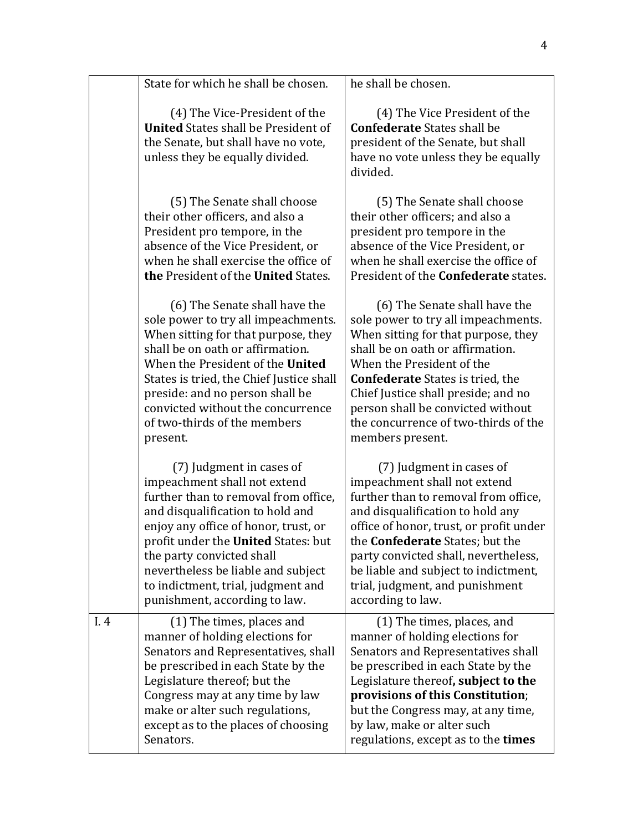|     | State for which he shall be chosen.                                                                                                                                                                                                                                                                                                                           | he shall be chosen.                                                                                                                                                                                                                                                                                                                                               |
|-----|---------------------------------------------------------------------------------------------------------------------------------------------------------------------------------------------------------------------------------------------------------------------------------------------------------------------------------------------------------------|-------------------------------------------------------------------------------------------------------------------------------------------------------------------------------------------------------------------------------------------------------------------------------------------------------------------------------------------------------------------|
|     | (4) The Vice-President of the<br><b>United States shall be President of</b><br>the Senate, but shall have no vote,<br>unless they be equally divided.                                                                                                                                                                                                         | (4) The Vice President of the<br><b>Confederate States shall be</b><br>president of the Senate, but shall<br>have no vote unless they be equally<br>divided.                                                                                                                                                                                                      |
|     | (5) The Senate shall choose<br>their other officers, and also a<br>President pro tempore, in the<br>absence of the Vice President, or<br>when he shall exercise the office of<br>the President of the United States.                                                                                                                                          | (5) The Senate shall choose<br>their other officers; and also a<br>president pro tempore in the<br>absence of the Vice President, or<br>when he shall exercise the office of<br>President of the <b>Confederate</b> states.                                                                                                                                       |
|     | (6) The Senate shall have the<br>sole power to try all impeachments.<br>When sitting for that purpose, they<br>shall be on oath or affirmation.<br>When the President of the United<br>States is tried, the Chief Justice shall<br>preside: and no person shall be<br>convicted without the concurrence<br>of two-thirds of the members<br>present.           | (6) The Senate shall have the<br>sole power to try all impeachments.<br>When sitting for that purpose, they<br>shall be on oath or affirmation.<br>When the President of the<br><b>Confederate</b> States is tried, the<br>Chief Justice shall preside; and no<br>person shall be convicted without<br>the concurrence of two-thirds of the<br>members present.   |
|     | (7) Judgment in cases of<br>impeachment shall not extend<br>further than to removal from office,<br>and disqualification to hold and<br>enjoy any office of honor, trust, or<br>profit under the United States: but<br>the party convicted shall<br>nevertheless be liable and subject<br>to indictment, trial, judgment and<br>punishment, according to law. | (7) Judgment in cases of<br>impeachment shall not extend<br>further than to removal from office,<br>and disqualification to hold any<br>office of honor, trust, or profit under<br>the <b>Confederate</b> States; but the<br>party convicted shall, nevertheless,<br>be liable and subject to indictment,<br>trial, judgment, and punishment<br>according to law. |
| I.4 | (1) The times, places and<br>manner of holding elections for<br>Senators and Representatives, shall<br>be prescribed in each State by the<br>Legislature thereof; but the<br>Congress may at any time by law<br>make or alter such regulations,<br>except as to the places of choosing<br>Senators.                                                           | (1) The times, places, and<br>manner of holding elections for<br>Senators and Representatives shall<br>be prescribed in each State by the<br>Legislature thereof, subject to the<br>provisions of this Constitution;<br>but the Congress may, at any time,<br>by law, make or alter such<br>regulations, except as to the times                                   |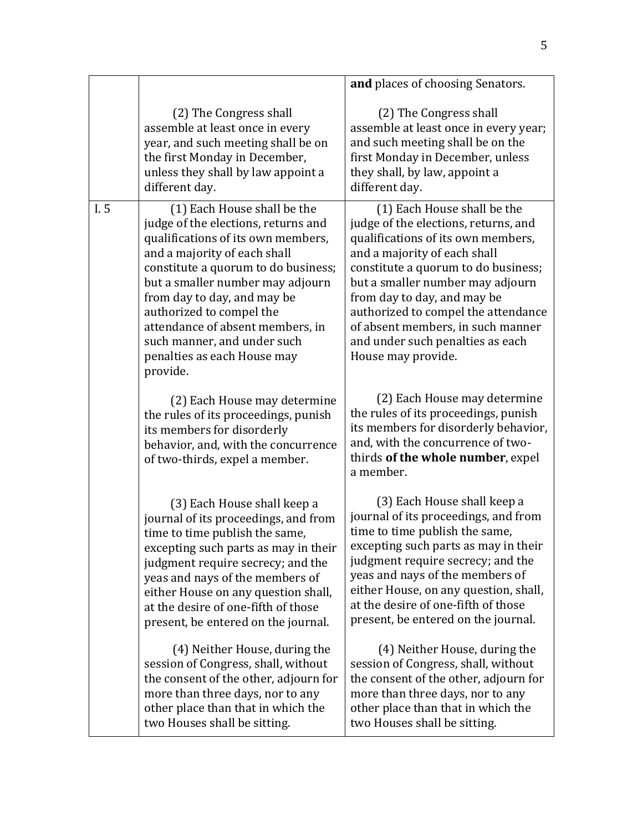|      |                                                                                                                                                                                                                                                                                                                                                                                              | and places of choosing Senators.                                                                                                                                                                                                                                                                                                                                                          |
|------|----------------------------------------------------------------------------------------------------------------------------------------------------------------------------------------------------------------------------------------------------------------------------------------------------------------------------------------------------------------------------------------------|-------------------------------------------------------------------------------------------------------------------------------------------------------------------------------------------------------------------------------------------------------------------------------------------------------------------------------------------------------------------------------------------|
|      | (2) The Congress shall<br>assemble at least once in every<br>year, and such meeting shall be on<br>the first Monday in December,<br>unless they shall by law appoint a<br>different day.                                                                                                                                                                                                     | (2) The Congress shall<br>assemble at least once in every year;<br>and such meeting shall be on the<br>first Monday in December, unless<br>they shall, by law, appoint a<br>different day.                                                                                                                                                                                                |
| I. 5 | (1) Each House shall be the<br>judge of the elections, returns and<br>qualifications of its own members,<br>and a majority of each shall<br>constitute a quorum to do business;<br>but a smaller number may adjourn<br>from day to day, and may be<br>authorized to compel the<br>attendance of absent members, in<br>such manner, and under such<br>penalties as each House may<br>provide. | (1) Each House shall be the<br>judge of the elections, returns, and<br>qualifications of its own members,<br>and a majority of each shall<br>constitute a quorum to do business;<br>but a smaller number may adjourn<br>from day to day, and may be<br>authorized to compel the attendance<br>of absent members, in such manner<br>and under such penalties as each<br>House may provide. |
|      | (2) Each House may determine<br>the rules of its proceedings, punish<br>its members for disorderly<br>behavior, and, with the concurrence<br>of two-thirds, expel a member.                                                                                                                                                                                                                  | (2) Each House may determine<br>the rules of its proceedings, punish<br>its members for disorderly behavior,<br>and, with the concurrence of two-<br>thirds of the whole number, expel<br>a member.                                                                                                                                                                                       |
|      | (3) Each House shall keep a<br>journal of its proceedings, and from<br>time to time publish the same,<br>excepting such parts as may in their<br>judgment require secrecy; and the<br>yeas and nays of the members of<br>either House on any question shall,<br>at the desire of one-fifth of those<br>present, be entered on the journal.                                                   | (3) Each House shall keep a<br>journal of its proceedings, and from<br>time to time publish the same,<br>excepting such parts as may in their<br>judgment require secrecy; and the<br>yeas and nays of the members of<br>either House, on any question, shall,<br>at the desire of one-fifth of those<br>present, be entered on the journal.                                              |
|      | (4) Neither House, during the<br>session of Congress, shall, without<br>the consent of the other, adjourn for<br>more than three days, nor to any<br>other place than that in which the<br>two Houses shall be sitting.                                                                                                                                                                      | (4) Neither House, during the<br>session of Congress, shall, without<br>the consent of the other, adjourn for<br>more than three days, nor to any<br>other place than that in which the<br>two Houses shall be sitting.                                                                                                                                                                   |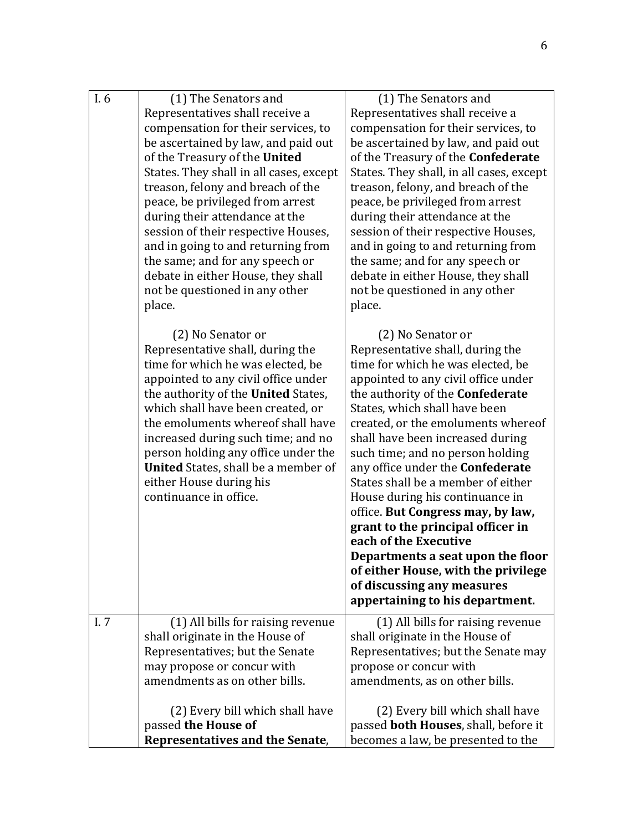| I.6 | (1) The Senators and                                                      | (1) The Senators and                                                      |
|-----|---------------------------------------------------------------------------|---------------------------------------------------------------------------|
|     | Representatives shall receive a                                           | Representatives shall receive a                                           |
|     | compensation for their services, to                                       | compensation for their services, to                                       |
|     | be ascertained by law, and paid out                                       | be ascertained by law, and paid out                                       |
|     | of the Treasury of the United                                             | of the Treasury of the Confederate                                        |
|     | States. They shall in all cases, except                                   | States. They shall, in all cases, except                                  |
|     | treason, felony and breach of the                                         | treason, felony, and breach of the                                        |
|     | peace, be privileged from arrest                                          | peace, be privileged from arrest                                          |
|     | during their attendance at the                                            | during their attendance at the                                            |
|     | session of their respective Houses,<br>and in going to and returning from | session of their respective Houses,<br>and in going to and returning from |
|     | the same; and for any speech or                                           | the same; and for any speech or                                           |
|     | debate in either House, they shall                                        | debate in either House, they shall                                        |
|     | not be questioned in any other                                            | not be questioned in any other                                            |
|     | place.                                                                    | place.                                                                    |
|     |                                                                           |                                                                           |
|     | (2) No Senator or                                                         | (2) No Senator or                                                         |
|     | Representative shall, during the                                          | Representative shall, during the                                          |
|     | time for which he was elected, be                                         | time for which he was elected, be                                         |
|     | appointed to any civil office under                                       | appointed to any civil office under                                       |
|     | the authority of the United States,                                       | the authority of the Confederate                                          |
|     | which shall have been created, or<br>the emoluments where of shall have   | States, which shall have been                                             |
|     | increased during such time; and no                                        | created, or the emoluments whereof<br>shall have been increased during    |
|     | person holding any office under the                                       | such time; and no person holding                                          |
|     | <b>United</b> States, shall be a member of                                | any office under the <b>Confederate</b>                                   |
|     | either House during his                                                   | States shall be a member of either                                        |
|     | continuance in office.                                                    | House during his continuance in                                           |
|     |                                                                           | office. But Congress may, by law,                                         |
|     |                                                                           | grant to the principal officer in                                         |
|     |                                                                           | each of the Executive                                                     |
|     |                                                                           | Departments a seat upon the floor                                         |
|     |                                                                           | of either House, with the privilege                                       |
|     |                                                                           | of discussing any measures                                                |
|     |                                                                           | appertaining to his department.                                           |
| I.7 | (1) All bills for raising revenue                                         | (1) All bills for raising revenue                                         |
|     | shall originate in the House of                                           | shall originate in the House of                                           |
|     | Representatives; but the Senate                                           | Representatives; but the Senate may                                       |
|     | may propose or concur with                                                | propose or concur with                                                    |
|     | amendments as on other bills.                                             | amendments, as on other bills.                                            |
|     | (2) Every bill which shall have                                           | (2) Every bill which shall have                                           |
|     | passed the House of                                                       | passed <b>both Houses</b> , shall, before it                              |
|     | Representatives and the Senate,                                           | becomes a law, be presented to the                                        |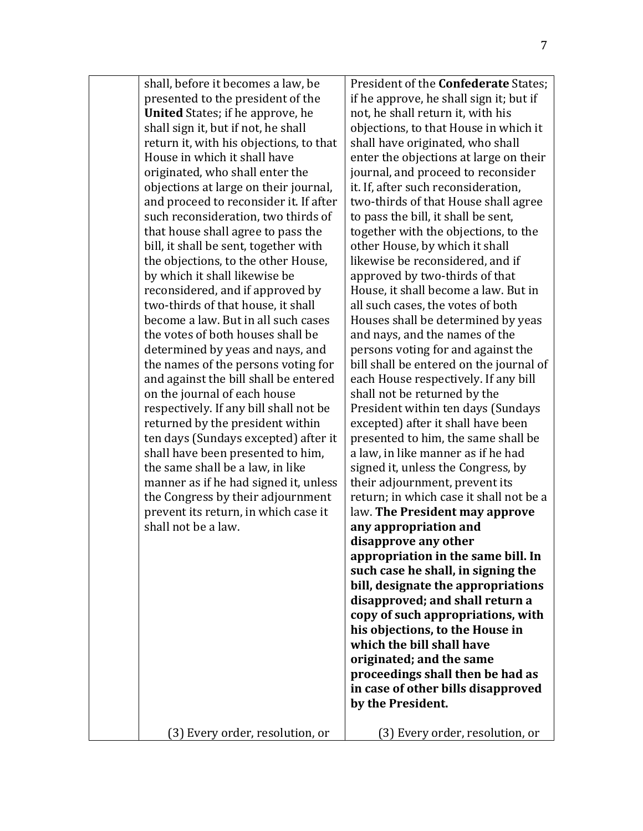| shall, before it becomes a law, be<br>presented to the president of the<br><b>United</b> States; if he approve, he<br>shall sign it, but if not, he shall<br>return it, with his objections, to that<br>House in which it shall have<br>originated, who shall enter the<br>objections at large on their journal,<br>and proceed to reconsider it. If after<br>such reconsideration, two thirds of<br>that house shall agree to pass the<br>bill, it shall be sent, together with<br>the objections, to the other House,<br>by which it shall likewise be<br>reconsidered, and if approved by<br>two-thirds of that house, it shall<br>become a law. But in all such cases<br>the votes of both houses shall be<br>determined by yeas and nays, and<br>the names of the persons voting for<br>and against the bill shall be entered<br>on the journal of each house<br>respectively. If any bill shall not be<br>returned by the president within<br>ten days (Sundays excepted) after it<br>shall have been presented to him,<br>the same shall be a law, in like<br>manner as if he had signed it, unless<br>the Congress by their adjournment<br>prevent its return, in which case it<br>shall not be a law. | President of the <b>Confederate</b> States;<br>if he approve, he shall sign it; but if<br>not, he shall return it, with his<br>objections, to that House in which it<br>shall have originated, who shall<br>enter the objections at large on their<br>journal, and proceed to reconsider<br>it. If, after such reconsideration,<br>two-thirds of that House shall agree<br>to pass the bill, it shall be sent,<br>together with the objections, to the<br>other House, by which it shall<br>likewise be reconsidered, and if<br>approved by two-thirds of that<br>House, it shall become a law. But in<br>all such cases, the votes of both<br>Houses shall be determined by yeas<br>and nays, and the names of the<br>persons voting for and against the<br>bill shall be entered on the journal of<br>each House respectively. If any bill<br>shall not be returned by the<br>President within ten days (Sundays<br>excepted) after it shall have been<br>presented to him, the same shall be<br>a law, in like manner as if he had<br>signed it, unless the Congress, by<br>their adjournment, prevent its<br>return; in which case it shall not be a<br>law. The President may approve<br>any appropriation and<br>disapprove any other<br>appropriation in the same bill. In<br>such case he shall, in signing the<br>bill, designate the appropriations<br>disapproved; and shall return a<br>copy of such appropriations, with<br>his objections, to the House in<br>which the bill shall have<br>originated; and the same<br>proceedings shall then be had as<br>in case of other bills disapproved<br>by the President. |
|----------------------------------------------------------------------------------------------------------------------------------------------------------------------------------------------------------------------------------------------------------------------------------------------------------------------------------------------------------------------------------------------------------------------------------------------------------------------------------------------------------------------------------------------------------------------------------------------------------------------------------------------------------------------------------------------------------------------------------------------------------------------------------------------------------------------------------------------------------------------------------------------------------------------------------------------------------------------------------------------------------------------------------------------------------------------------------------------------------------------------------------------------------------------------------------------------------------|----------------------------------------------------------------------------------------------------------------------------------------------------------------------------------------------------------------------------------------------------------------------------------------------------------------------------------------------------------------------------------------------------------------------------------------------------------------------------------------------------------------------------------------------------------------------------------------------------------------------------------------------------------------------------------------------------------------------------------------------------------------------------------------------------------------------------------------------------------------------------------------------------------------------------------------------------------------------------------------------------------------------------------------------------------------------------------------------------------------------------------------------------------------------------------------------------------------------------------------------------------------------------------------------------------------------------------------------------------------------------------------------------------------------------------------------------------------------------------------------------------------------------------------------------------------------------------------------------------------------------------|
| 3) Every order, resolution, or                                                                                                                                                                                                                                                                                                                                                                                                                                                                                                                                                                                                                                                                                                                                                                                                                                                                                                                                                                                                                                                                                                                                                                                 | (3) Every order, resolution, or                                                                                                                                                                                                                                                                                                                                                                                                                                                                                                                                                                                                                                                                                                                                                                                                                                                                                                                                                                                                                                                                                                                                                                                                                                                                                                                                                                                                                                                                                                                                                                                                  |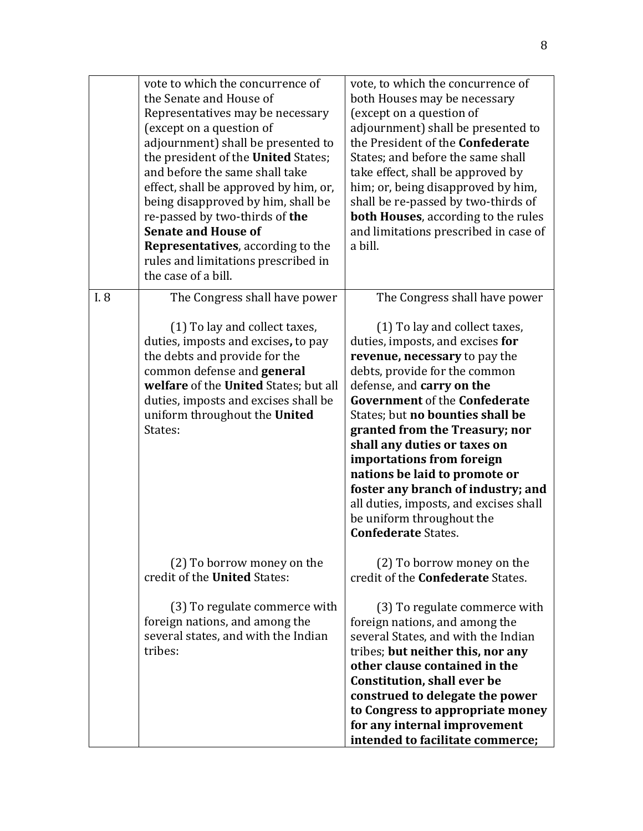|      | vote to which the concurrence of<br>the Senate and House of<br>Representatives may be necessary<br>(except on a question of<br>adjournment) shall be presented to<br>the president of the United States;<br>and before the same shall take<br>effect, shall be approved by him, or,<br>being disapproved by him, shall be<br>re-passed by two-thirds of the<br><b>Senate and House of</b><br><b>Representatives</b> , according to the<br>rules and limitations prescribed in<br>the case of a bill. | vote, to which the concurrence of<br>both Houses may be necessary<br>(except on a question of<br>adjournment) shall be presented to<br>the President of the Confederate<br>States; and before the same shall<br>take effect, shall be approved by<br>him; or, being disapproved by him,<br>shall be re-passed by two-thirds of<br><b>both Houses</b> , according to the rules<br>and limitations prescribed in case of<br>a bill.                                                                                                                        |
|------|------------------------------------------------------------------------------------------------------------------------------------------------------------------------------------------------------------------------------------------------------------------------------------------------------------------------------------------------------------------------------------------------------------------------------------------------------------------------------------------------------|----------------------------------------------------------------------------------------------------------------------------------------------------------------------------------------------------------------------------------------------------------------------------------------------------------------------------------------------------------------------------------------------------------------------------------------------------------------------------------------------------------------------------------------------------------|
| I. 8 | The Congress shall have power<br>(1) To lay and collect taxes,<br>duties, imposts and excises, to pay<br>the debts and provide for the<br>common defense and general<br>welfare of the United States; but all<br>duties, imposts and excises shall be<br>uniform throughout the United<br>States:                                                                                                                                                                                                    | The Congress shall have power<br>(1) To lay and collect taxes,<br>duties, imposts, and excises for<br>revenue, necessary to pay the<br>debts, provide for the common<br>defense, and carry on the<br><b>Government of the Confederate</b><br>States; but no bounties shall be<br>granted from the Treasury; nor<br>shall any duties or taxes on<br>importations from foreign<br>nations be laid to promote or<br>foster any branch of industry; and<br>all duties, imposts, and excises shall<br>be uniform throughout the<br><b>Confederate States.</b> |
|      | (2) To borrow money on the<br>credit of the United States:<br>(3) To regulate commerce with<br>foreign nations, and among the<br>several states, and with the Indian<br>tribes:                                                                                                                                                                                                                                                                                                                      | (2) To borrow money on the<br>credit of the <b>Confederate</b> States.<br>(3) To regulate commerce with<br>foreign nations, and among the<br>several States, and with the Indian<br>tribes; but neither this, nor any<br>other clause contained in the<br><b>Constitution, shall ever be</b><br>construed to delegate the power<br>to Congress to appropriate money<br>for any internal improvement<br>intended to facilitate commerce;                                                                                                                  |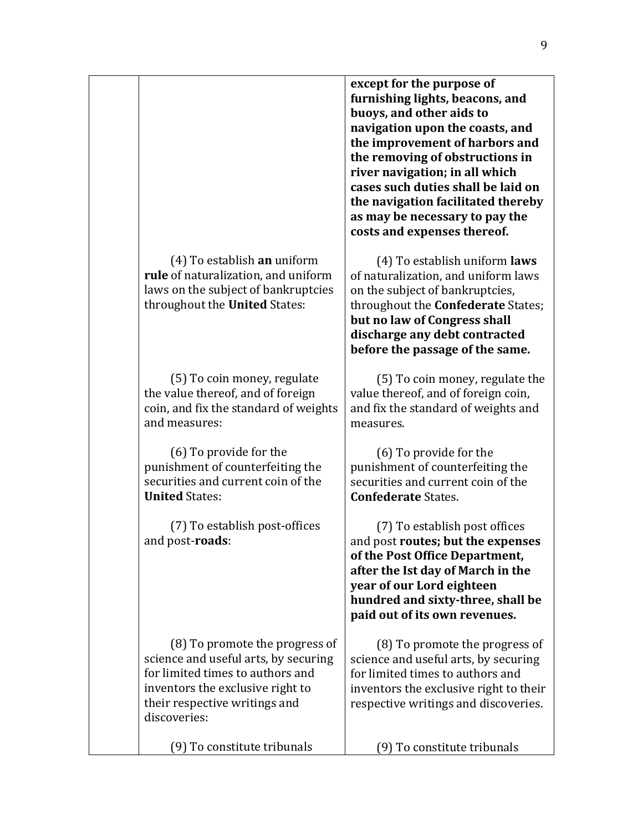|                                                                                                                                                                                                 | except for the purpose of<br>furnishing lights, beacons, and<br>buoys, and other aids to<br>navigation upon the coasts, and<br>the improvement of harbors and<br>the removing of obstructions in<br>river navigation; in all which<br>cases such duties shall be laid on<br>the navigation facilitated thereby<br>as may be necessary to pay the<br>costs and expenses thereof. |
|-------------------------------------------------------------------------------------------------------------------------------------------------------------------------------------------------|---------------------------------------------------------------------------------------------------------------------------------------------------------------------------------------------------------------------------------------------------------------------------------------------------------------------------------------------------------------------------------|
| (4) To establish an uniform<br>rule of naturalization, and uniform<br>laws on the subject of bankruptcies<br>throughout the United States:                                                      | (4) To establish uniform <b>laws</b><br>of naturalization, and uniform laws<br>on the subject of bankruptcies,<br>throughout the <b>Confederate</b> States;<br>but no law of Congress shall<br>discharge any debt contracted<br>before the passage of the same.                                                                                                                 |
| (5) To coin money, regulate<br>the value thereof, and of foreign<br>coin, and fix the standard of weights<br>and measures:                                                                      | (5) To coin money, regulate the<br>value thereof, and of foreign coin,<br>and fix the standard of weights and<br>measures.                                                                                                                                                                                                                                                      |
| (6) To provide for the<br>punishment of counterfeiting the<br>securities and current coin of the<br><b>United States:</b>                                                                       | (6) To provide for the<br>punishment of counterfeiting the<br>securities and current coin of the<br><b>Confederate States.</b>                                                                                                                                                                                                                                                  |
| (7) To establish post-offices<br>and post- <b>roads</b> :                                                                                                                                       | (7) To establish post offices<br>and post routes; but the expenses<br>of the Post Office Department,<br>after the Ist day of March in the<br>year of our Lord eighteen<br>hundred and sixty-three, shall be<br>paid out of its own revenues.                                                                                                                                    |
| (8) To promote the progress of<br>science and useful arts, by securing<br>for limited times to authors and<br>inventors the exclusive right to<br>their respective writings and<br>discoveries: | (8) To promote the progress of<br>science and useful arts, by securing<br>for limited times to authors and<br>inventors the exclusive right to their<br>respective writings and discoveries.                                                                                                                                                                                    |
| (9) To constitute tribunals                                                                                                                                                                     | (9) To constitute tribunals                                                                                                                                                                                                                                                                                                                                                     |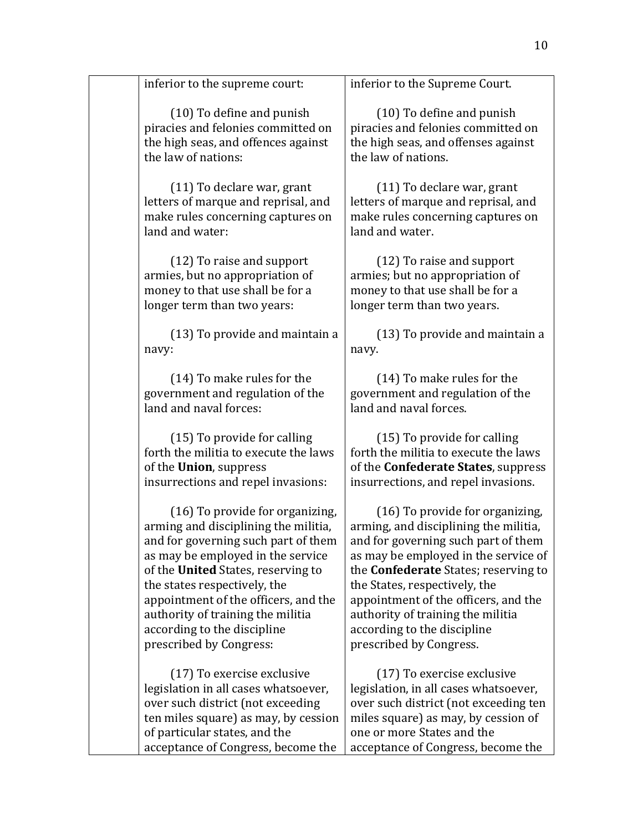$(10)$  To define and punish piracies and felonies committed on the high seas, and offences against the law of nations:

 $(11)$  To declare war, grant letters of marque and reprisal, and make rules concerning captures on land and water:

(12) To raise and support armies, but no appropriation of money to that use shall be for a longer term than two years:

 $(13)$  To provide and maintain a navy:

(14) To make rules for the government and regulation of the land and naval forces:

(15) To provide for calling forth the militia to execute the laws of the **Union**, suppress insurrections and repel invasions:

 $(16)$  To provide for organizing, arming and disciplining the militia. and for governing such part of them as may be employed in the service of the **United** States, reserving to the states respectively, the appointment of the officers, and the authority of training the militia according to the discipline prescribed by Congress:

(17) To exercise exclusive legislation in all cases whatsoever, over such district (not exceeding ten miles square) as may, by cession of particular states, and the acceptance of Congress, become the

inferior to the Supreme Court.

 $(10)$  To define and punish piracies and felonies committed on the high seas, and offenses against the law of nations.

 $(11)$  To declare war, grant letters of marque and reprisal, and make rules concerning captures on land and water.

(12) To raise and support armies; but no appropriation of money to that use shall be for a longer term than two years.

 $(13)$  To provide and maintain a navy.

(14) To make rules for the government and regulation of the land and naval forces.

 $(15)$  To provide for calling forth the militia to execute the laws of the **Confederate States**, suppress insurrections, and repel invasions.

 $(16)$  To provide for organizing, arming, and disciplining the militia. and for governing such part of them as may be employed in the service of the **Confederate** States; reserving to the States, respectively, the appointment of the officers, and the authority of training the militia according to the discipline prescribed by Congress.

(17) To exercise exclusive legislation, in all cases whatsoever, over such district (not exceeding ten miles square) as may, by cession of one or more States and the acceptance of Congress, become the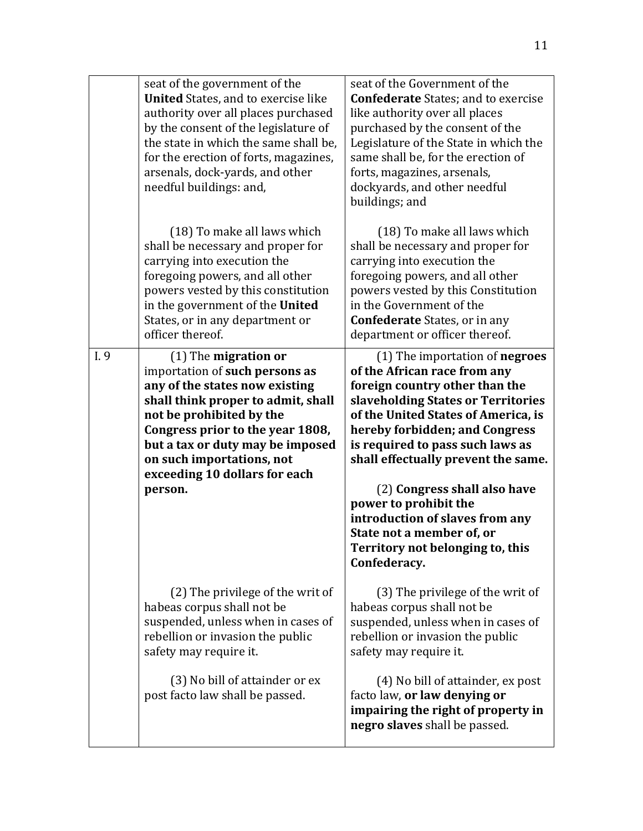|      | seat of the government of the<br><b>United</b> States, and to exercise like<br>authority over all places purchased<br>by the consent of the legislature of<br>the state in which the same shall be,<br>for the erection of forts, magazines,<br>arsenals, dock-yards, and other<br>needful buildings: and,    | seat of the Government of the<br><b>Confederate States; and to exercise</b><br>like authority over all places<br>purchased by the consent of the<br>Legislature of the State in which the<br>same shall be, for the erection of<br>forts, magazines, arsenals,<br>dockyards, and other needful<br>buildings; and                                                                                                                                                        |
|------|---------------------------------------------------------------------------------------------------------------------------------------------------------------------------------------------------------------------------------------------------------------------------------------------------------------|-------------------------------------------------------------------------------------------------------------------------------------------------------------------------------------------------------------------------------------------------------------------------------------------------------------------------------------------------------------------------------------------------------------------------------------------------------------------------|
|      | (18) To make all laws which<br>shall be necessary and proper for<br>carrying into execution the<br>foregoing powers, and all other<br>powers vested by this constitution<br>in the government of the United<br>States, or in any department or<br>officer thereof.                                            | (18) To make all laws which<br>shall be necessary and proper for<br>carrying into execution the<br>foregoing powers, and all other<br>powers vested by this Constitution<br>in the Government of the<br><b>Confederate</b> States, or in any<br>department or officer thereof.                                                                                                                                                                                          |
| I. 9 | $(1)$ The migration or<br>importation of such persons as<br>any of the states now existing<br>shall think proper to admit, shall<br>not be prohibited by the<br>Congress prior to the year 1808,<br>but a tax or duty may be imposed<br>on such importations, not<br>exceeding 10 dollars for each<br>person. | (1) The importation of negroes<br>of the African race from any<br>foreign country other than the<br>slaveholding States or Territories<br>of the United States of America, is<br>hereby forbidden; and Congress<br>is required to pass such laws as<br>shall effectually prevent the same.<br>(2) Congress shall also have<br>power to prohibit the<br>introduction of slaves from any<br>State not a member of, or<br>Territory not belonging to, this<br>Confederacy. |
|      | (2) The privilege of the writ of<br>habeas corpus shall not be<br>suspended, unless when in cases of<br>rebellion or invasion the public<br>safety may require it.                                                                                                                                            | (3) The privilege of the writ of<br>habeas corpus shall not be<br>suspended, unless when in cases of<br>rebellion or invasion the public<br>safety may require it.                                                                                                                                                                                                                                                                                                      |
|      | (3) No bill of attainder or ex<br>post facto law shall be passed.                                                                                                                                                                                                                                             | (4) No bill of attainder, ex post<br>facto law, or law denying or<br>impairing the right of property in<br>negro slaves shall be passed.                                                                                                                                                                                                                                                                                                                                |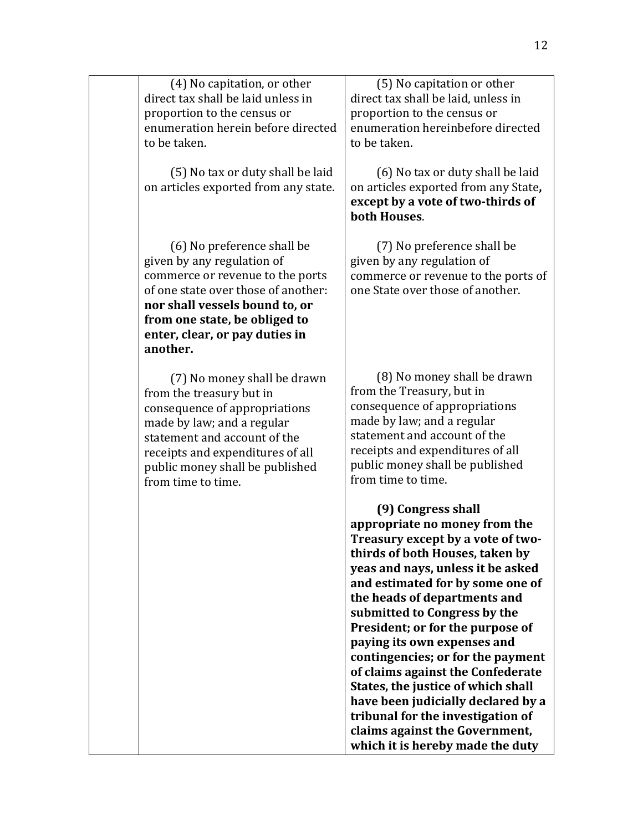| (4) No capitation, or other        |
|------------------------------------|
| direct tax shall be laid unless in |
| proportion to the census or        |
| enumeration herein before directed |
| to be taken.                       |

(5) No tax or duty shall be laid on articles exported from any state.

(6) No preference shall be given by any regulation of commerce or revenue to the ports of one state over those of another: nor shall vessels bound to, or from one state, be obliged to **enter, clear, or pay duties in another.**

(7) No money shall be drawn from the treasury but in consequence of appropriations made by law; and a regular statement and account of the receipts and expenditures of all public money shall be published from time to time.

(5) No capitation or other direct tax shall be laid, unless in proportion to the census or enumeration hereinbefore directed to be taken.

(6) No tax or duty shall be laid on articles exported from any State**,**  except by a vote of two-thirds of **both Houses**.

(7) No preference shall be given by any regulation of commerce or revenue to the ports of one State over those of another.

(8) No money shall be drawn from the Treasury, but in consequence of appropriations made by law; and a regular statement and account of the receipts and expenditures of all public money shall be published from time to time.

**(9) Congress shall**  appropriate no money from the **Treasury except by a vote of twothirds of both Houses, taken by yeas and nays, unless it be asked** and estimated for by some one of the heads of departments and submitted to Congress by the **President; or for the purpose of paying its own expenses and** contingencies; or for the payment **of claims against the Confederate States, the justice of which shall** have been judicially declared by a tribunal for the investigation of claims against the Government, **which it is hereby made the duty**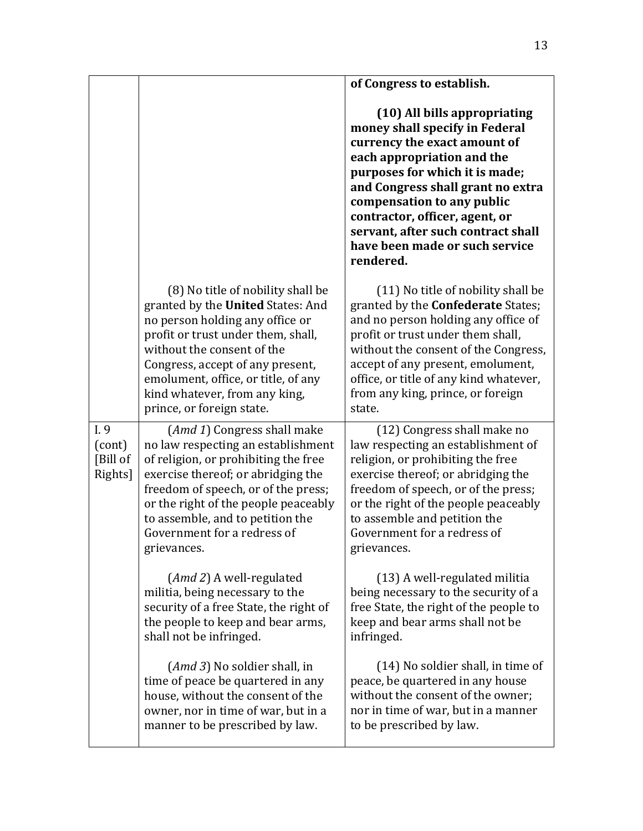|                                       |                                                                                                                                                                                                                                                                                                                           | of Congress to establish.                                                                                                                                                                                                                                                                                                                                |
|---------------------------------------|---------------------------------------------------------------------------------------------------------------------------------------------------------------------------------------------------------------------------------------------------------------------------------------------------------------------------|----------------------------------------------------------------------------------------------------------------------------------------------------------------------------------------------------------------------------------------------------------------------------------------------------------------------------------------------------------|
|                                       |                                                                                                                                                                                                                                                                                                                           | (10) All bills appropriating<br>money shall specify in Federal<br>currency the exact amount of<br>each appropriation and the<br>purposes for which it is made;<br>and Congress shall grant no extra<br>compensation to any public<br>contractor, officer, agent, or<br>servant, after such contract shall<br>have been made or such service<br>rendered. |
|                                       | (8) No title of nobility shall be<br>granted by the United States: And<br>no person holding any office or<br>profit or trust under them, shall,<br>without the consent of the<br>Congress, accept of any present,<br>emolument, office, or title, of any<br>kind whatever, from any king,<br>prince, or foreign state.    | (11) No title of nobility shall be<br>granted by the <b>Confederate</b> States;<br>and no person holding any office of<br>profit or trust under them shall,<br>without the consent of the Congress,<br>accept of any present, emolument,<br>office, or title of any kind whatever,<br>from any king, prince, or foreign<br>state.                        |
| I. 9<br>(cont)<br>[Bill of<br>Rights] | ( <i>Amd 1</i> ) Congress shall make<br>no law respecting an establishment<br>of religion, or prohibiting the free<br>exercise thereof; or abridging the<br>freedom of speech, or of the press;<br>or the right of the people peaceably<br>to assemble, and to petition the<br>Government for a redress of<br>grievances. | (12) Congress shall make no<br>law respecting an establishment of<br>religion, or prohibiting the free<br>exercise thereof; or abridging the<br>freedom of speech, or of the press;<br>or the right of the people peaceably<br>to assemble and petition the<br>Government for a redress of<br>grievances.                                                |
|                                       | ( <i>Amd 2</i> ) A well-regulated<br>militia, being necessary to the<br>security of a free State, the right of<br>the people to keep and bear arms,<br>shall not be infringed.                                                                                                                                            | (13) A well-regulated militia<br>being necessary to the security of a<br>free State, the right of the people to<br>keep and bear arms shall not be<br>infringed.                                                                                                                                                                                         |
|                                       | (Amd 3) No soldier shall, in<br>time of peace be quartered in any<br>house, without the consent of the<br>owner, nor in time of war, but in a<br>manner to be prescribed by law.                                                                                                                                          | (14) No soldier shall, in time of<br>peace, be quartered in any house<br>without the consent of the owner;<br>nor in time of war, but in a manner<br>to be prescribed by law.                                                                                                                                                                            |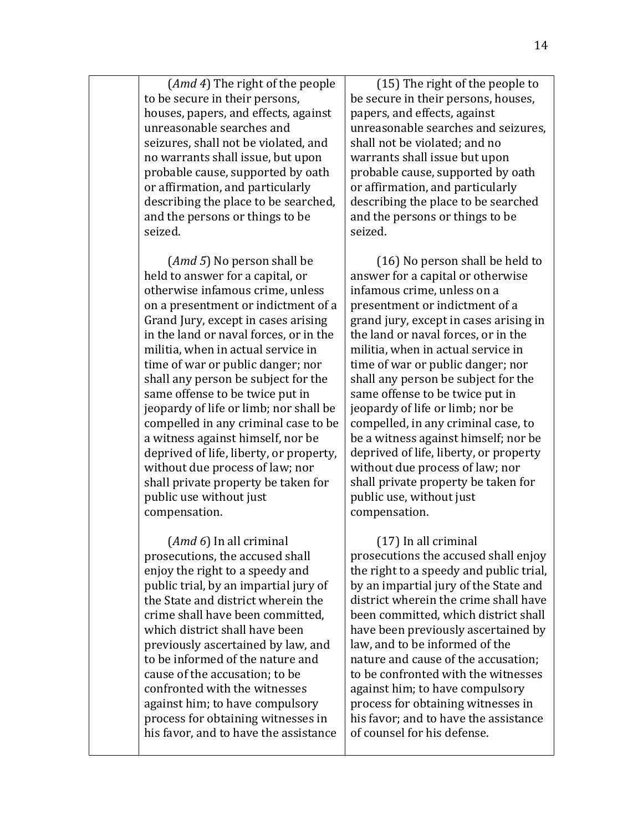(*Amd 4*) The right of the people to be secure in their persons, houses, papers, and effects, against unreasonable searches and seizures, shall not be violated, and no warrants shall issue, but upon probable cause, supported by oath or affirmation, and particularly describing the place to be searched, and the persons or things to be seized.

(*Amd* 5) No person shall be held to answer for a capital, or otherwise infamous crime, unless on a presentment or indictment of a Grand Jury, except in cases arising in the land or naval forces, or in the militia, when in actual service in time of war or public danger; nor shall any person be subject for the same offense to be twice put in jeopardy of life or limb; nor shall be compelled in any criminal case to be a witness against himself, nor be deprived of life, liberty, or property, without due process of law; nor shall private property be taken for public use without just compensation.

(*Amd* 6) In all criminal prosecutions, the accused shall enjoy the right to a speedy and public trial, by an impartial jury of the State and district wherein the crime shall have been committed. which district shall have been previously ascertained by law, and to be informed of the nature and cause of the accusation; to be confronted with the witnesses against him; to have compulsory process for obtaining witnesses in his favor, and to have the assistance

 $(15)$  The right of the people to be secure in their persons, houses, papers, and effects, against unreasonable searches and seizures. shall not be violated; and no warrants shall issue but upon probable cause, supported by oath or affirmation, and particularly describing the place to be searched and the persons or things to be seized.

 $(16)$  No person shall be held to answer for a capital or otherwise infamous crime, unless on a presentment or indictment of a grand jury, except in cases arising in the land or naval forces, or in the militia, when in actual service in time of war or public danger; nor shall any person be subject for the same offense to be twice put in jeopardy of life or limb; nor be compelled, in any criminal case, to be a witness against himself; nor be deprived of life, liberty, or property without due process of law; nor shall private property be taken for public use, without just compensation.

 $(17)$  In all criminal prosecutions the accused shall enjoy the right to a speedy and public trial, by an impartial jury of the State and district wherein the crime shall have been committed, which district shall have been previously ascertained by law, and to be informed of the nature and cause of the accusation: to be confronted with the witnesses against him; to have compulsory process for obtaining witnesses in his favor; and to have the assistance of counsel for his defense.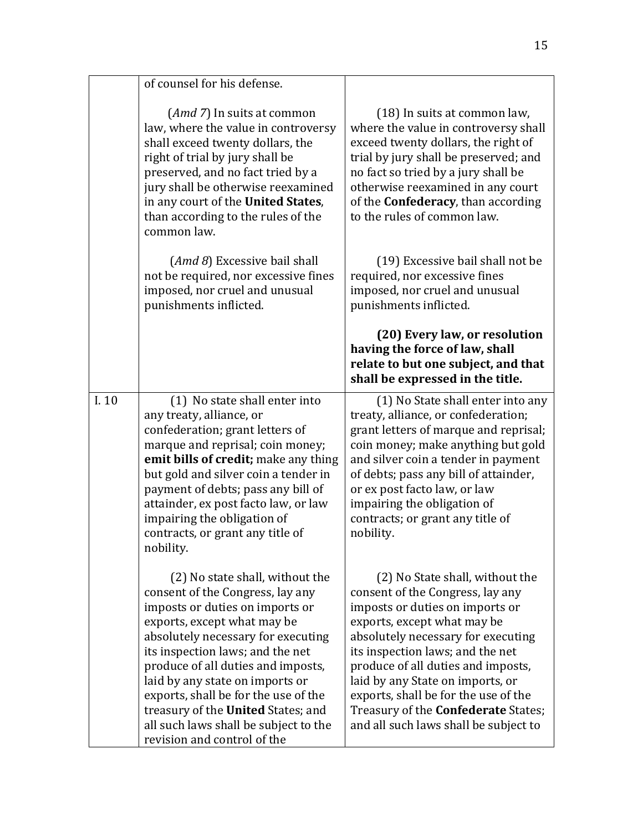|      | of counsel for his defense.                                                                                                                                                                                                                                                                                                                                                                                                                           |                                                                                                                                                                                                                                                                                                                                                                                                                          |
|------|-------------------------------------------------------------------------------------------------------------------------------------------------------------------------------------------------------------------------------------------------------------------------------------------------------------------------------------------------------------------------------------------------------------------------------------------------------|--------------------------------------------------------------------------------------------------------------------------------------------------------------------------------------------------------------------------------------------------------------------------------------------------------------------------------------------------------------------------------------------------------------------------|
|      |                                                                                                                                                                                                                                                                                                                                                                                                                                                       |                                                                                                                                                                                                                                                                                                                                                                                                                          |
|      | $(Amd 7)$ In suits at common<br>law, where the value in controversy<br>shall exceed twenty dollars, the<br>right of trial by jury shall be<br>preserved, and no fact tried by a<br>jury shall be otherwise reexamined<br>in any court of the United States,<br>than according to the rules of the<br>common law.                                                                                                                                      | (18) In suits at common law,<br>where the value in controversy shall<br>exceed twenty dollars, the right of<br>trial by jury shall be preserved; and<br>no fact so tried by a jury shall be<br>otherwise reexamined in any court<br>of the <b>Confederacy</b> , than according<br>to the rules of common law.                                                                                                            |
|      | (Amd 8) Excessive bail shall<br>not be required, nor excessive fines<br>imposed, nor cruel and unusual<br>punishments inflicted.                                                                                                                                                                                                                                                                                                                      | (19) Excessive bail shall not be<br>required, nor excessive fines<br>imposed, nor cruel and unusual<br>punishments inflicted.                                                                                                                                                                                                                                                                                            |
|      |                                                                                                                                                                                                                                                                                                                                                                                                                                                       | (20) Every law, or resolution<br>having the force of law, shall<br>relate to but one subject, and that<br>shall be expressed in the title.                                                                                                                                                                                                                                                                               |
| I.10 | (1) No state shall enter into<br>any treaty, alliance, or<br>confederation; grant letters of<br>marque and reprisal; coin money;<br>emit bills of credit; make any thing<br>but gold and silver coin a tender in<br>payment of debts; pass any bill of<br>attainder, ex post facto law, or law<br>impairing the obligation of<br>contracts, or grant any title of<br>nobility.                                                                        | (1) No State shall enter into any<br>treaty, alliance, or confederation;<br>grant letters of marque and reprisal;<br>coin money; make anything but gold<br>and silver coin a tender in payment<br>of debts; pass any bill of attainder,<br>or ex post facto law, or law<br>impairing the obligation of<br>contracts; or grant any title of<br>nobility.                                                                  |
|      | (2) No state shall, without the<br>consent of the Congress, lay any<br>imposts or duties on imports or<br>exports, except what may be<br>absolutely necessary for executing<br>its inspection laws; and the net<br>produce of all duties and imposts,<br>laid by any state on imports or<br>exports, shall be for the use of the<br>treasury of the <b>United</b> States; and<br>all such laws shall be subject to the<br>revision and control of the | (2) No State shall, without the<br>consent of the Congress, lay any<br>imposts or duties on imports or<br>exports, except what may be<br>absolutely necessary for executing<br>its inspection laws; and the net<br>produce of all duties and imposts,<br>laid by any State on imports, or<br>exports, shall be for the use of the<br>Treasury of the <b>Confederate</b> States;<br>and all such laws shall be subject to |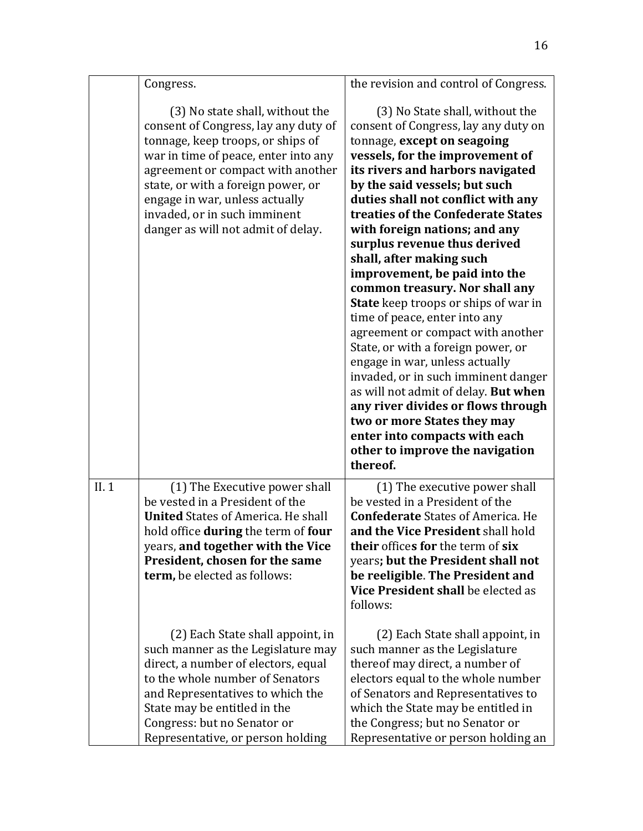|      | Congress.                                                                                                                                                                                                                                                                                                                               | the revision and control of Congress.                                                                                                                                                                                                                                                                                                                                                                                                                                                                                                                                                                                                                                                                                                                                                                                                                                                       |
|------|-----------------------------------------------------------------------------------------------------------------------------------------------------------------------------------------------------------------------------------------------------------------------------------------------------------------------------------------|---------------------------------------------------------------------------------------------------------------------------------------------------------------------------------------------------------------------------------------------------------------------------------------------------------------------------------------------------------------------------------------------------------------------------------------------------------------------------------------------------------------------------------------------------------------------------------------------------------------------------------------------------------------------------------------------------------------------------------------------------------------------------------------------------------------------------------------------------------------------------------------------|
|      | (3) No state shall, without the<br>consent of Congress, lay any duty of<br>tonnage, keep troops, or ships of<br>war in time of peace, enter into any<br>agreement or compact with another<br>state, or with a foreign power, or<br>engage in war, unless actually<br>invaded, or in such imminent<br>danger as will not admit of delay. | (3) No State shall, without the<br>consent of Congress, lay any duty on<br>tonnage, except on seagoing<br>vessels, for the improvement of<br>its rivers and harbors navigated<br>by the said vessels; but such<br>duties shall not conflict with any<br>treaties of the Confederate States<br>with foreign nations; and any<br>surplus revenue thus derived<br>shall, after making such<br>improvement, be paid into the<br>common treasury. Nor shall any<br><b>State</b> keep troops or ships of war in<br>time of peace, enter into any<br>agreement or compact with another<br>State, or with a foreign power, or<br>engage in war, unless actually<br>invaded, or in such imminent danger<br>as will not admit of delay. But when<br>any river divides or flows through<br>two or more States they may<br>enter into compacts with each<br>other to improve the navigation<br>thereof. |
| II.1 | (1) The Executive power shall<br>be vested in a President of the<br><b>United States of America. He shall</b><br>hold office during the term of four<br>years, and together with the Vice<br>President, chosen for the same<br>term, be elected as follows:                                                                             | (1) The executive power shall<br>be vested in a President of the<br><b>Confederate States of America. He</b><br>and the Vice President shall hold<br>their offices for the term of six<br>years; but the President shall not<br>be reeligible. The President and<br>Vice President shall be elected as<br>follows:                                                                                                                                                                                                                                                                                                                                                                                                                                                                                                                                                                          |
|      | (2) Each State shall appoint, in<br>such manner as the Legislature may<br>direct, a number of electors, equal<br>to the whole number of Senators<br>and Representatives to which the<br>State may be entitled in the<br>Congress: but no Senator or<br>Representative, or person holding                                                | (2) Each State shall appoint, in<br>such manner as the Legislature<br>thereof may direct, a number of<br>electors equal to the whole number<br>of Senators and Representatives to<br>which the State may be entitled in<br>the Congress; but no Senator or<br>Representative or person holding an                                                                                                                                                                                                                                                                                                                                                                                                                                                                                                                                                                                           |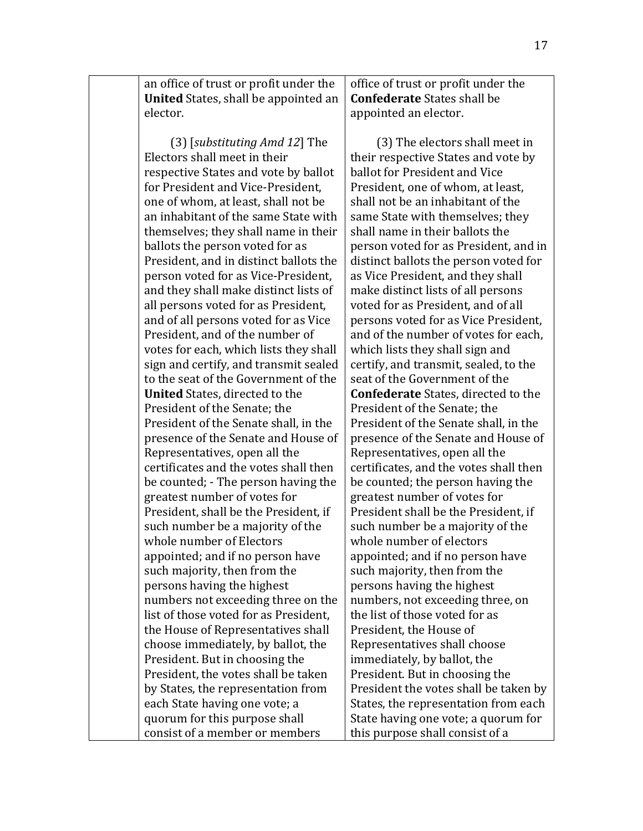an office of trust or profit under the **United** States, shall be appointed an elector. 

(3) [*substituting Amd 12*] The Electors shall meet in their respective States and vote by ballot for President and Vice-President, one of whom, at least, shall not be an inhabitant of the same State with themselves; they shall name in their ballots the person voted for as President, and in distinct ballots the person voted for as Vice-President, and they shall make distinct lists of all persons voted for as President, and of all persons voted for as Vice President, and of the number of votes for each, which lists they shall sign and certify, and transmit sealed to the seat of the Government of the **United** States, directed to the President of the Senate: the President of the Senate shall, in the presence of the Senate and House of Representatives, open all the certificates and the votes shall then be counted; - The person having the greatest number of votes for President, shall be the President, if such number be a majority of the whole number of Electors appointed; and if no person have such majority, then from the persons having the highest numbers not exceeding three on the list of those voted for as President. the House of Representatives shall choose immediately, by ballot, the President. But in choosing the President, the votes shall be taken by States, the representation from each State having one vote; a quorum for this purpose shall consist of a member or members

office of trust or profit under the **Confederate** States shall be appointed an elector.

(3) The electors shall meet in their respective States and vote by ballot for President and Vice President, one of whom, at least, shall not be an inhabitant of the same State with themselves; they shall name in their ballots the person voted for as President, and in distinct ballots the person voted for as Vice President, and they shall make distinct lists of all persons voted for as President, and of all persons voted for as Vice President. and of the number of votes for each, which lists they shall sign and certify, and transmit, sealed, to the seat of the Government of the **Confederate** States, directed to the President of the Senate; the President of the Senate shall, in the presence of the Senate and House of Representatives, open all the certificates, and the votes shall then be counted; the person having the greatest number of votes for President shall be the President, if such number be a majority of the whole number of electors appointed; and if no person have such majority, then from the persons having the highest numbers, not exceeding three, on the list of those voted for as President, the House of Representatives shall choose immediately, by ballot, the President. But in choosing the President the votes shall be taken by States, the representation from each State having one vote; a quorum for this purpose shall consist of a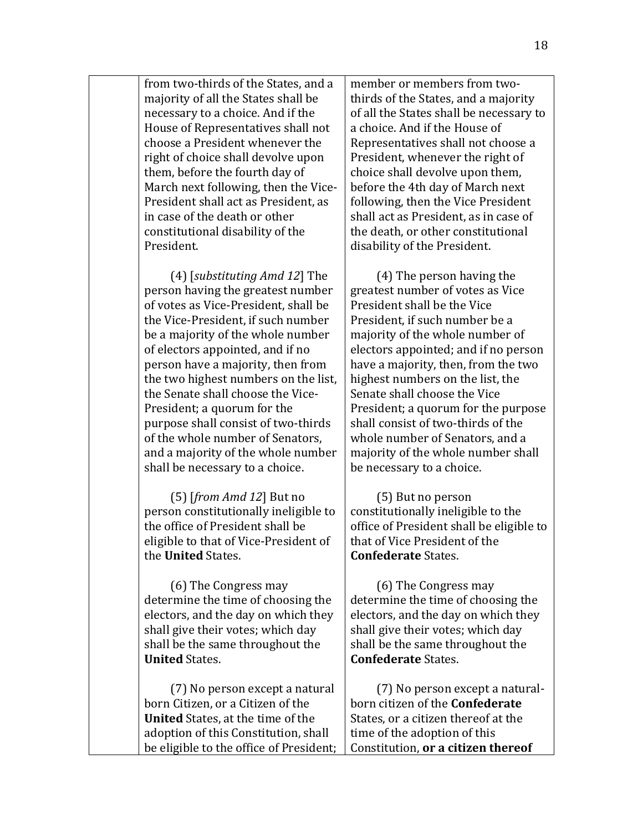from two-thirds of the States, and a majority of all the States shall be necessary to a choice. And if the House of Representatives shall not choose a President whenever the right of choice shall devolve upon them, before the fourth day of March next following, then the Vice-President shall act as President, as in case of the death or other constitutional disability of the President.

(4) [*substituting Amd 12*] The person having the greatest number of votes as Vice-President, shall be the Vice-President, if such number be a majority of the whole number of electors appointed, and if no person have a majority, then from the two highest numbers on the list, the Senate shall choose the Vice-President; a quorum for the purpose shall consist of two-thirds of the whole number of Senators. and a majority of the whole number shall be necessary to a choice.

(5) [*from Amd 12*] But no person constitutionally ineligible to the office of President shall be eligible to that of Vice-President of the **United** States.

(6) The Congress may determine the time of choosing the electors, and the day on which they shall give their votes; which day shall be the same throughout the **United** States.

(7) No person except a natural born Citizen, or a Citizen of the **United** States, at the time of the adoption of this Constitution, shall be eligible to the office of President;

member or members from twothirds of the States, and a majority of all the States shall be necessary to a choice. And if the House of Representatives shall not choose a President, whenever the right of choice shall devolve upon them, before the 4th day of March next following, then the Vice President shall act as President, as in case of the death, or other constitutional disability of the President.

 $(4)$  The person having the greatest number of votes as Vice President shall be the Vice President, if such number be a majority of the whole number of electors appointed; and if no person have a majority, then, from the two highest numbers on the list, the Senate shall choose the Vice President; a quorum for the purpose shall consist of two-thirds of the whole number of Senators, and a majority of the whole number shall be necessary to a choice.

(5) But no person constitutionally ineligible to the office of President shall be eligible to that of Vice President of the **Confederate** States.

(6) The Congress may determine the time of choosing the electors, and the day on which they shall give their votes; which day shall be the same throughout the **Confederate** States.

(7) No person except a naturalborn citizen of the **Confederate** States, or a citizen thereof at the time of the adoption of this Constitution, or a citizen thereof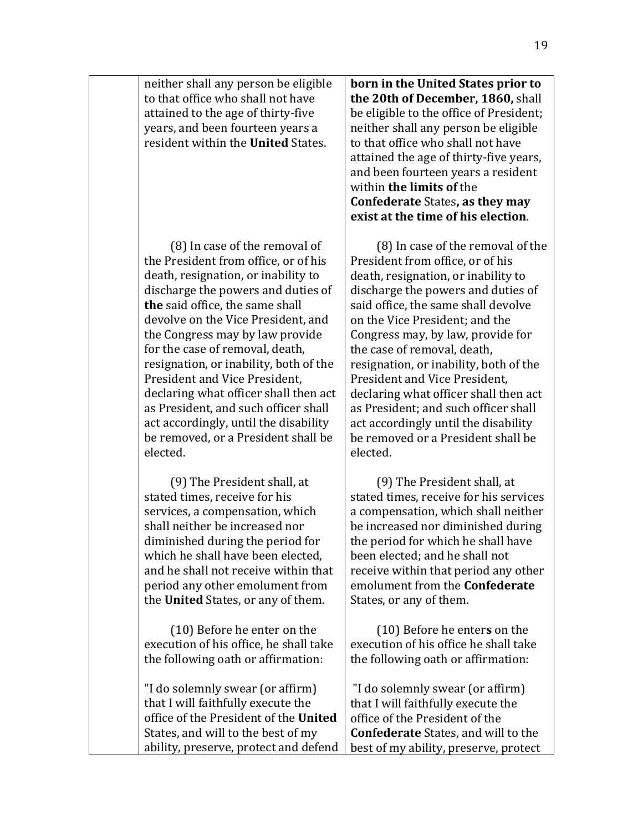neither shall any person be eligible to that office who shall not have attained to the age of thirty-five years, and been fourteen years a resident within the **United** States.

(8) In case of the removal of the President from office, or of his death, resignation, or inability to discharge the powers and duties of **the** said office, the same shall devolve on the Vice President, and the Congress may by law provide for the case of removal, death, resignation, or inability, both of the President and Vice President, declaring what officer shall then act as President, and such officer shall act accordingly, until the disability be removed, or a President shall be elected. 

(9) The President shall, at stated times, receive for his services, a compensation, which shall neither be increased nor diminished during the period for which he shall have been elected, and he shall not receive within that period any other emolument from the **United** States, or any of them.

(10) Before he enter on the execution of his office, he shall take the following oath or affirmation:

"I do solemnly swear (or affirm) that I will faithfully execute the office of the President of the **United** States, and will to the best of my ability, preserve, protect and defend

**born in the United States prior to the 20th of December, 1860, shall** be eligible to the office of President; neither shall any person be eligible to that office who shall not have attained the age of thirty-five years, and been fourteen years a resident within **the limits of** the **Confederate** States, as they may **exist at the time of his election.** 

(8) In case of the removal of the President from office, or of his death, resignation, or inability to discharge the powers and duties of said office, the same shall devolve on the Vice President: and the Congress may, by law, provide for the case of removal, death, resignation, or inability, both of the President and Vice President, declaring what officer shall then act as President; and such officer shall act accordingly until the disability be removed or a President shall be elected.

(9) The President shall, at stated times, receive for his services a compensation, which shall neither be increased nor diminished during the period for which he shall have been elected; and he shall not receive within that period any other emolument from the **Confederate** States, or any of them.

(10) Before he enter**s** on the execution of his office he shall take the following oath or affirmation:

"I do solemnly swear (or affirm) that I will faithfully execute the office of the President of the **Confederate** States, and will to the best of my ability, preserve, protect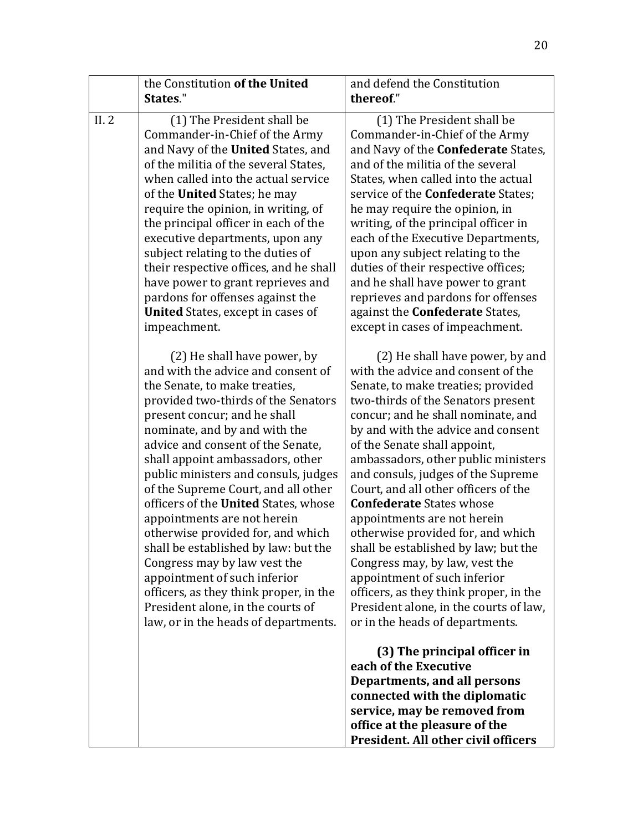|      | the Constitution of the United<br>States."                                                                                                                                                                                                                                                                                                                                                                                                                                                                                                                                                                                                                                                                    | and defend the Constitution<br>thereof."                                                                                                                                                                                                                                                                                                                                                                                                                                                                                                                                                                                                                                                                                   |
|------|---------------------------------------------------------------------------------------------------------------------------------------------------------------------------------------------------------------------------------------------------------------------------------------------------------------------------------------------------------------------------------------------------------------------------------------------------------------------------------------------------------------------------------------------------------------------------------------------------------------------------------------------------------------------------------------------------------------|----------------------------------------------------------------------------------------------------------------------------------------------------------------------------------------------------------------------------------------------------------------------------------------------------------------------------------------------------------------------------------------------------------------------------------------------------------------------------------------------------------------------------------------------------------------------------------------------------------------------------------------------------------------------------------------------------------------------------|
| II.2 | (1) The President shall be<br>Commander-in-Chief of the Army<br>and Navy of the United States, and<br>of the militia of the several States,<br>when called into the actual service<br>of the <b>United</b> States; he may<br>require the opinion, in writing, of<br>the principal officer in each of the<br>executive departments, upon any<br>subject relating to the duties of<br>their respective offices, and he shall<br>have power to grant reprieves and<br>pardons for offenses against the<br><b>United</b> States, except in cases of<br>impeachment.                                                                                                                                               | (1) The President shall be<br>Commander-in-Chief of the Army<br>and Navy of the <b>Confederate</b> States,<br>and of the militia of the several<br>States, when called into the actual<br>service of the <b>Confederate</b> States;<br>he may require the opinion, in<br>writing, of the principal officer in<br>each of the Executive Departments,<br>upon any subject relating to the<br>duties of their respective offices;<br>and he shall have power to grant<br>reprieves and pardons for offenses<br>against the <b>Confederate</b> States,<br>except in cases of impeachment.                                                                                                                                      |
|      | (2) He shall have power, by<br>and with the advice and consent of<br>the Senate, to make treaties,<br>provided two-thirds of the Senators<br>present concur; and he shall<br>nominate, and by and with the<br>advice and consent of the Senate,<br>shall appoint ambassadors, other<br>public ministers and consuls, judges<br>of the Supreme Court, and all other<br>officers of the United States, whose<br>appointments are not herein<br>otherwise provided for, and which<br>shall be established by law: but the<br>Congress may by law vest the<br>appointment of such inferior<br>officers, as they think proper, in the<br>President alone, in the courts of<br>law, or in the heads of departments. | (2) He shall have power, by and<br>with the advice and consent of the<br>Senate, to make treaties; provided<br>two-thirds of the Senators present<br>concur; and he shall nominate, and<br>by and with the advice and consent<br>of the Senate shall appoint,<br>ambassadors, other public ministers<br>and consuls, judges of the Supreme<br>Court, and all other officers of the<br><b>Confederate States whose</b><br>appointments are not herein<br>otherwise provided for, and which<br>shall be established by law; but the<br>Congress may, by law, vest the<br>appointment of such inferior<br>officers, as they think proper, in the<br>President alone, in the courts of law,<br>or in the heads of departments. |
|      |                                                                                                                                                                                                                                                                                                                                                                                                                                                                                                                                                                                                                                                                                                               | (3) The principal officer in<br>each of the Executive<br>Departments, and all persons<br>connected with the diplomatic<br>service, may be removed from<br>office at the pleasure of the<br>President. All other civil officers                                                                                                                                                                                                                                                                                                                                                                                                                                                                                             |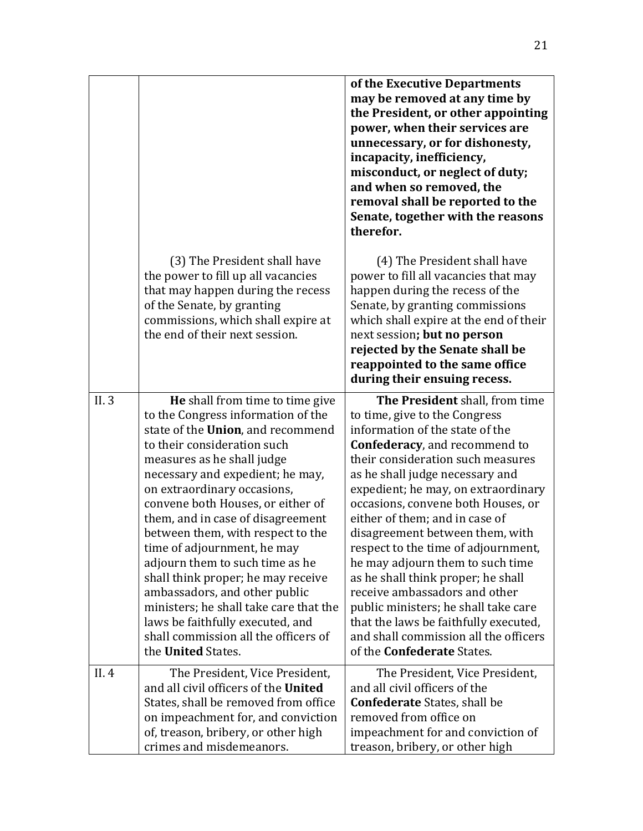|       |                                                                                                                                                                                                                                                                                                                                                                                                                                                                                                                                                                                                                                                              | of the Executive Departments<br>may be removed at any time by<br>the President, or other appointing<br>power, when their services are<br>unnecessary, or for dishonesty,<br>incapacity, inefficiency,<br>misconduct, or neglect of duty;<br>and when so removed, the<br>removal shall be reported to the<br>Senate, together with the reasons<br>therefor.                                                                                                                                                                                                                                                                                                                     |
|-------|--------------------------------------------------------------------------------------------------------------------------------------------------------------------------------------------------------------------------------------------------------------------------------------------------------------------------------------------------------------------------------------------------------------------------------------------------------------------------------------------------------------------------------------------------------------------------------------------------------------------------------------------------------------|--------------------------------------------------------------------------------------------------------------------------------------------------------------------------------------------------------------------------------------------------------------------------------------------------------------------------------------------------------------------------------------------------------------------------------------------------------------------------------------------------------------------------------------------------------------------------------------------------------------------------------------------------------------------------------|
|       | (3) The President shall have<br>the power to fill up all vacancies<br>that may happen during the recess<br>of the Senate, by granting<br>commissions, which shall expire at<br>the end of their next session.                                                                                                                                                                                                                                                                                                                                                                                                                                                | (4) The President shall have<br>power to fill all vacancies that may<br>happen during the recess of the<br>Senate, by granting commissions<br>which shall expire at the end of their<br>next session; but no person<br>rejected by the Senate shall be<br>reappointed to the same office<br>during their ensuing recess.                                                                                                                                                                                                                                                                                                                                                       |
| II. 3 | <b>He</b> shall from time to time give<br>to the Congress information of the<br>state of the Union, and recommend<br>to their consideration such<br>measures as he shall judge<br>necessary and expedient; he may,<br>on extraordinary occasions,<br>convene both Houses, or either of<br>them, and in case of disagreement<br>between them, with respect to the<br>time of adjournment, he may<br>adjourn them to such time as he<br>shall think proper; he may receive<br>ambassadors, and other public<br>ministers; he shall take care that the<br>laws be faithfully executed, and<br>shall commission all the officers of<br>the <b>United</b> States. | The President shall, from time<br>to time, give to the Congress<br>information of the state of the<br>Confederacy, and recommend to<br>their consideration such measures<br>as he shall judge necessary and<br>expedient; he may, on extraordinary<br>occasions, convene both Houses, or<br>either of them; and in case of<br>disagreement between them, with<br>respect to the time of adjournment,<br>he may adjourn them to such time<br>as he shall think proper; he shall<br>receive ambassadors and other<br>public ministers; he shall take care<br>that the laws be faithfully executed,<br>and shall commission all the officers<br>of the <b>Confederate</b> States. |
| II.4  | The President, Vice President,<br>and all civil officers of the United<br>States, shall be removed from office<br>on impeachment for, and conviction<br>of, treason, bribery, or other high<br>crimes and misdemeanors.                                                                                                                                                                                                                                                                                                                                                                                                                                      | The President, Vice President,<br>and all civil officers of the<br><b>Confederate</b> States, shall be<br>removed from office on<br>impeachment for and conviction of<br>treason, bribery, or other high                                                                                                                                                                                                                                                                                                                                                                                                                                                                       |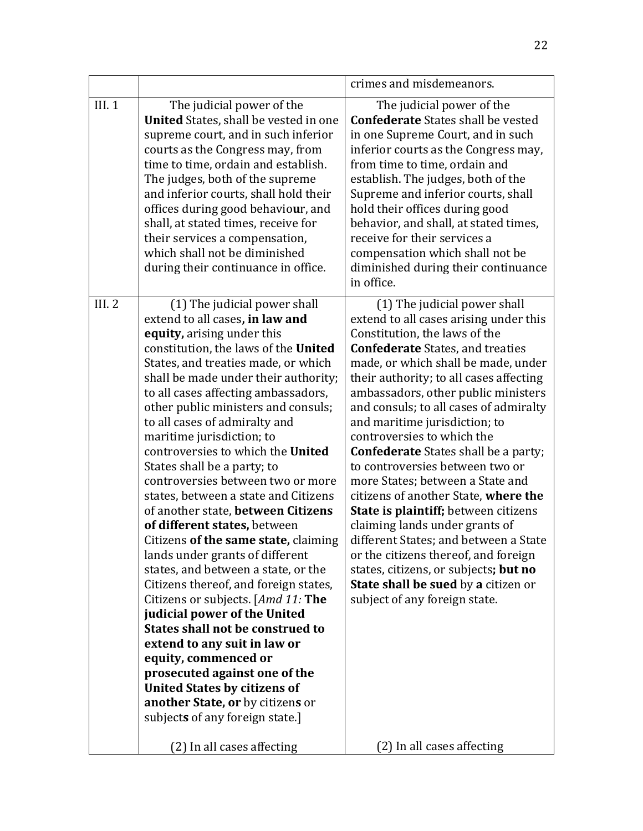|       |                                                                                                                                                                                                                                                                                                                                                                                                                                                                                                                                                                                                                                                                                                                                                                                                                                                                                                                                                                                                                                                                            | crimes and misdemeanors.                                                                                                                                                                                                                                                                                                                                                                                                                                                                                                                                                                                                                                                                                                                                                                                                              |
|-------|----------------------------------------------------------------------------------------------------------------------------------------------------------------------------------------------------------------------------------------------------------------------------------------------------------------------------------------------------------------------------------------------------------------------------------------------------------------------------------------------------------------------------------------------------------------------------------------------------------------------------------------------------------------------------------------------------------------------------------------------------------------------------------------------------------------------------------------------------------------------------------------------------------------------------------------------------------------------------------------------------------------------------------------------------------------------------|---------------------------------------------------------------------------------------------------------------------------------------------------------------------------------------------------------------------------------------------------------------------------------------------------------------------------------------------------------------------------------------------------------------------------------------------------------------------------------------------------------------------------------------------------------------------------------------------------------------------------------------------------------------------------------------------------------------------------------------------------------------------------------------------------------------------------------------|
| III.1 | The judicial power of the<br><b>United</b> States, shall be vested in one<br>supreme court, and in such inferior<br>courts as the Congress may, from<br>time to time, ordain and establish.<br>The judges, both of the supreme<br>and inferior courts, shall hold their<br>offices during good behaviour, and<br>shall, at stated times, receive for<br>their services a compensation,<br>which shall not be diminished<br>during their continuance in office.                                                                                                                                                                                                                                                                                                                                                                                                                                                                                                                                                                                                             | The judicial power of the<br><b>Confederate</b> States shall be vested<br>in one Supreme Court, and in such<br>inferior courts as the Congress may,<br>from time to time, ordain and<br>establish. The judges, both of the<br>Supreme and inferior courts, shall<br>hold their offices during good<br>behavior, and shall, at stated times,<br>receive for their services a<br>compensation which shall not be<br>diminished during their continuance<br>in office.                                                                                                                                                                                                                                                                                                                                                                   |
| III.2 | (1) The judicial power shall<br>extend to all cases, in law and<br>equity, arising under this<br>constitution, the laws of the United<br>States, and treaties made, or which<br>shall be made under their authority;<br>to all cases affecting ambassadors,<br>other public ministers and consuls;<br>to all cases of admiralty and<br>maritime jurisdiction; to<br>controversies to which the United<br>States shall be a party; to<br>controversies between two or more<br>states, between a state and Citizens<br>of another state, between Citizens<br>of different states, between<br>Citizens of the same state, claiming<br>lands under grants of different<br>states, and between a state, or the<br>Citizens thereof, and foreign states,<br>Citizens or subjects. [Amd 11: The<br>judicial power of the United<br><b>States shall not be construed to</b><br>extend to any suit in law or<br>equity, commenced or<br>prosecuted against one of the<br><b>United States by citizens of</b><br>another State, or by citizens or<br>subjects of any foreign state.] | (1) The judicial power shall<br>extend to all cases arising under this<br>Constitution, the laws of the<br><b>Confederate</b> States, and treaties<br>made, or which shall be made, under<br>their authority; to all cases affecting<br>ambassadors, other public ministers<br>and consuls; to all cases of admiralty<br>and maritime jurisdiction; to<br>controversies to which the<br><b>Confederate</b> States shall be a party;<br>to controversies between two or<br>more States; between a State and<br>citizens of another State, where the<br><b>State is plaintiff; between citizens</b><br>claiming lands under grants of<br>different States; and between a State<br>or the citizens thereof, and foreign<br>states, citizens, or subjects; but no<br>State shall be sued by a citizen or<br>subject of any foreign state. |
|       | (2) In all cases affecting                                                                                                                                                                                                                                                                                                                                                                                                                                                                                                                                                                                                                                                                                                                                                                                                                                                                                                                                                                                                                                                 | (2) In all cases affecting                                                                                                                                                                                                                                                                                                                                                                                                                                                                                                                                                                                                                                                                                                                                                                                                            |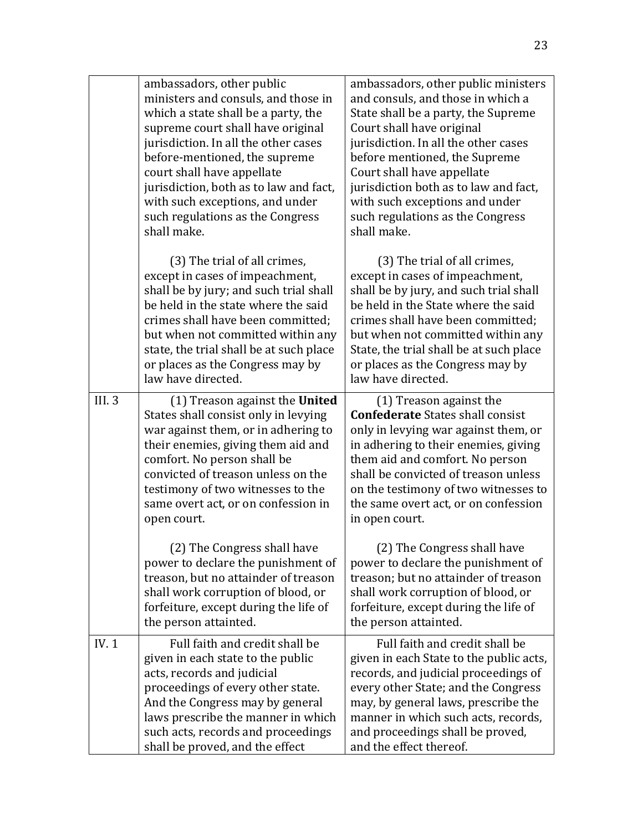|              | ambassadors, other public<br>ministers and consuls, and those in<br>which a state shall be a party, the<br>supreme court shall have original<br>jurisdiction. In all the other cases<br>before-mentioned, the supreme<br>court shall have appellate<br>jurisdiction, both as to law and fact,<br>with such exceptions, and under<br>such regulations as the Congress<br>shall make. | ambassadors, other public ministers<br>and consuls, and those in which a<br>State shall be a party, the Supreme<br>Court shall have original<br>jurisdiction. In all the other cases<br>before mentioned, the Supreme<br>Court shall have appellate<br>jurisdiction both as to law and fact,<br>with such exceptions and under<br>such regulations as the Congress<br>shall make. |
|--------------|-------------------------------------------------------------------------------------------------------------------------------------------------------------------------------------------------------------------------------------------------------------------------------------------------------------------------------------------------------------------------------------|-----------------------------------------------------------------------------------------------------------------------------------------------------------------------------------------------------------------------------------------------------------------------------------------------------------------------------------------------------------------------------------|
|              | (3) The trial of all crimes,<br>except in cases of impeachment,<br>shall be by jury; and such trial shall<br>be held in the state where the said<br>crimes shall have been committed;<br>but when not committed within any<br>state, the trial shall be at such place<br>or places as the Congress may by<br>law have directed.                                                     | (3) The trial of all crimes,<br>except in cases of impeachment,<br>shall be by jury, and such trial shall<br>be held in the State where the said<br>crimes shall have been committed;<br>but when not committed within any<br>State, the trial shall be at such place<br>or places as the Congress may by<br>law have directed.                                                   |
| <b>III.3</b> | (1) Treason against the United<br>States shall consist only in levying<br>war against them, or in adhering to<br>their enemies, giving them aid and<br>comfort. No person shall be<br>convicted of treason unless on the<br>testimony of two witnesses to the<br>same overt act, or on confession in<br>open court.                                                                 | (1) Treason against the<br><b>Confederate States shall consist</b><br>only in levying war against them, or<br>in adhering to their enemies, giving<br>them aid and comfort. No person<br>shall be convicted of treason unless<br>on the testimony of two witnesses to<br>the same overt act, or on confession<br>in open court.                                                   |
|              | (2) The Congress shall have<br>power to declare the punishment of<br>treason, but no attainder of treason<br>shall work corruption of blood, or<br>forfeiture, except during the life of<br>the person attainted.                                                                                                                                                                   | (2) The Congress shall have<br>power to declare the punishment of<br>treason; but no attainder of treason<br>shall work corruption of blood, or<br>forfeiture, except during the life of<br>the person attainted.                                                                                                                                                                 |
| IV.1         | Full faith and credit shall be<br>given in each state to the public<br>acts, records and judicial<br>proceedings of every other state.<br>And the Congress may by general<br>laws prescribe the manner in which<br>such acts, records and proceedings<br>shall be proved, and the effect                                                                                            | Full faith and credit shall be<br>given in each State to the public acts,<br>records, and judicial proceedings of<br>every other State; and the Congress<br>may, by general laws, prescribe the<br>manner in which such acts, records,<br>and proceedings shall be proved,<br>and the effect thereof.                                                                             |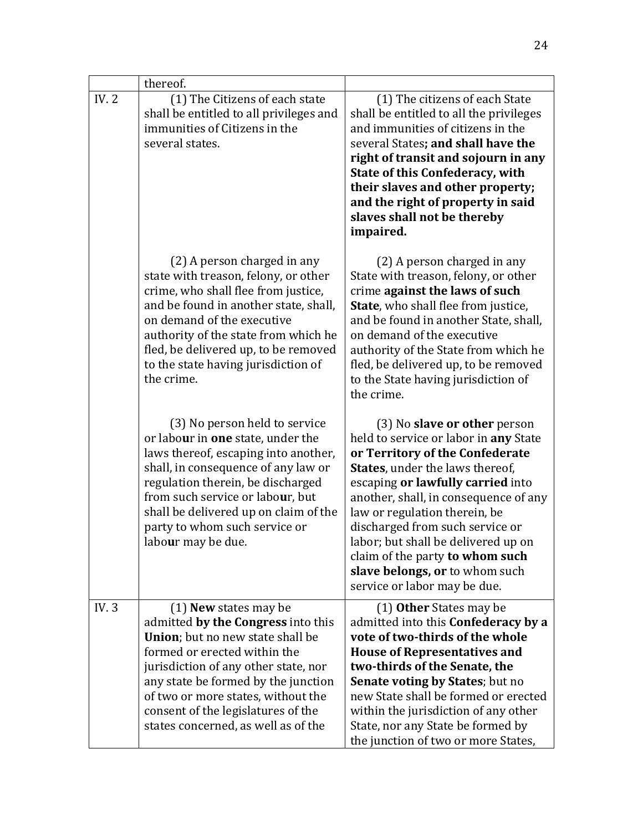|             | thereof.                                                                                                                                                                                                                                                                                                                            |                                                                                                                                                                                                                                                                                                                                                                                                                                                  |
|-------------|-------------------------------------------------------------------------------------------------------------------------------------------------------------------------------------------------------------------------------------------------------------------------------------------------------------------------------------|--------------------------------------------------------------------------------------------------------------------------------------------------------------------------------------------------------------------------------------------------------------------------------------------------------------------------------------------------------------------------------------------------------------------------------------------------|
| <b>IV.2</b> | (1) The Citizens of each state<br>shall be entitled to all privileges and<br>immunities of Citizens in the<br>several states.                                                                                                                                                                                                       | (1) The citizens of each State<br>shall be entitled to all the privileges<br>and immunities of citizens in the<br>several States; and shall have the<br>right of transit and sojourn in any<br><b>State of this Confederacy, with</b><br>their slaves and other property;<br>and the right of property in said<br>slaves shall not be thereby<br>impaired.                                                                                       |
|             | (2) A person charged in any<br>state with treason, felony, or other<br>crime, who shall flee from justice,<br>and be found in another state, shall,<br>on demand of the executive<br>authority of the state from which he<br>fled, be delivered up, to be removed<br>to the state having jurisdiction of<br>the crime.              | (2) A person charged in any<br>State with treason, felony, or other<br>crime against the laws of such<br><b>State</b> , who shall flee from justice,<br>and be found in another State, shall,<br>on demand of the executive<br>authority of the State from which he<br>fled, be delivered up, to be removed<br>to the State having jurisdiction of<br>the crime.                                                                                 |
|             | (3) No person held to service<br>or labour in one state, under the<br>laws thereof, escaping into another,<br>shall, in consequence of any law or<br>regulation therein, be discharged<br>from such service or labour, but<br>shall be delivered up on claim of the<br>party to whom such service or<br>labour may be due.          | (3) No <b>slave or other</b> person<br>held to service or labor in any State<br>or Territory of the Confederate<br>States, under the laws thereof,<br>escaping or lawfully carried into<br>another, shall, in consequence of any<br>law or regulation therein, be<br>discharged from such service or<br>labor; but shall be delivered up on<br>claim of the party to whom such<br>slave belongs, or to whom such<br>service or labor may be due. |
| IV.3        | $(1)$ New states may be<br>admitted by the Congress into this<br>Union; but no new state shall be<br>formed or erected within the<br>jurisdiction of any other state, nor<br>any state be formed by the junction<br>of two or more states, without the<br>consent of the legislatures of the<br>states concerned, as well as of the | (1) Other States may be<br>admitted into this Confederacy by a<br>vote of two-thirds of the whole<br><b>House of Representatives and</b><br>two-thirds of the Senate, the<br><b>Senate voting by States; but no</b><br>new State shall be formed or erected<br>within the jurisdiction of any other<br>State, nor any State be formed by<br>the junction of two or more States,                                                                  |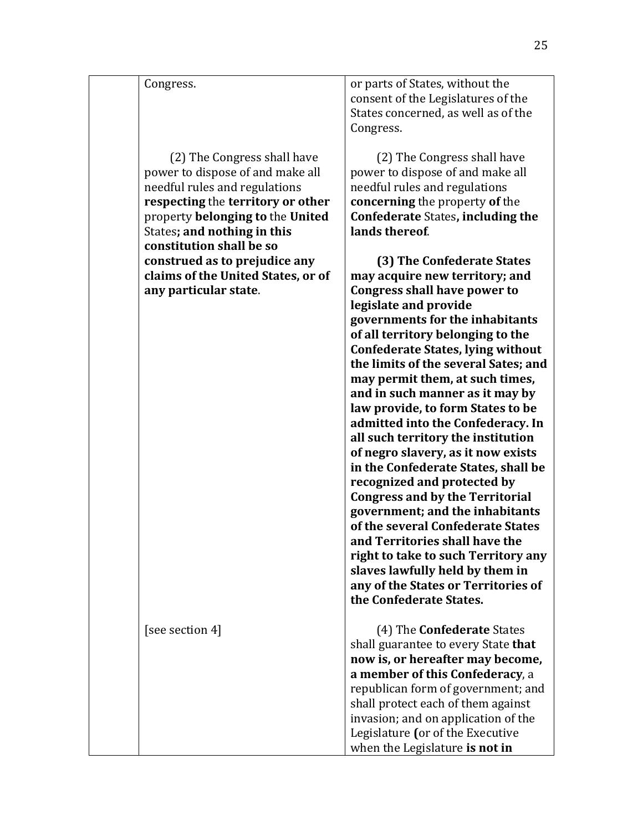| Congress.                                                                                                                                                                                                                            | or parts of States, without the<br>consent of the Legislatures of the<br>States concerned, as well as of the<br>Congress.                                                                                                                                                                                                                                                                                                                                                                                                                                                                                                                                                                                                                                                                                                                                                                  |
|--------------------------------------------------------------------------------------------------------------------------------------------------------------------------------------------------------------------------------------|--------------------------------------------------------------------------------------------------------------------------------------------------------------------------------------------------------------------------------------------------------------------------------------------------------------------------------------------------------------------------------------------------------------------------------------------------------------------------------------------------------------------------------------------------------------------------------------------------------------------------------------------------------------------------------------------------------------------------------------------------------------------------------------------------------------------------------------------------------------------------------------------|
| (2) The Congress shall have<br>power to dispose of and make all<br>needful rules and regulations<br>respecting the territory or other<br>property belonging to the United<br>States; and nothing in this<br>constitution shall be so | (2) The Congress shall have<br>power to dispose of and make all<br>needful rules and regulations<br>concerning the property of the<br><b>Confederate States, including the</b><br>lands thereof.                                                                                                                                                                                                                                                                                                                                                                                                                                                                                                                                                                                                                                                                                           |
| construed as to prejudice any<br>claims of the United States, or of<br>any particular state.                                                                                                                                         | (3) The Confederate States<br>may acquire new territory; and<br><b>Congress shall have power to</b><br>legislate and provide<br>governments for the inhabitants<br>of all territory belonging to the<br><b>Confederate States, lying without</b><br>the limits of the several Sates; and<br>may permit them, at such times,<br>and in such manner as it may by<br>law provide, to form States to be<br>admitted into the Confederacy. In<br>all such territory the institution<br>of negro slavery, as it now exists<br>in the Confederate States, shall be<br>recognized and protected by<br><b>Congress and by the Territorial</b><br>government; and the inhabitants<br>of the several Confederate States<br>and Territories shall have the<br>right to take to such Territory any<br>slaves lawfully held by them in<br>any of the States or Territories of<br>the Confederate States. |
| [see section 4]                                                                                                                                                                                                                      | (4) The <b>Confederate</b> States<br>shall guarantee to every State that<br>now is, or hereafter may become,<br>a member of this Confederacy, a<br>republican form of government; and<br>shall protect each of them against<br>invasion; and on application of the                                                                                                                                                                                                                                                                                                                                                                                                                                                                                                                                                                                                                         |
|                                                                                                                                                                                                                                      | Legislature (or of the Executive<br>when the Legislature is not in                                                                                                                                                                                                                                                                                                                                                                                                                                                                                                                                                                                                                                                                                                                                                                                                                         |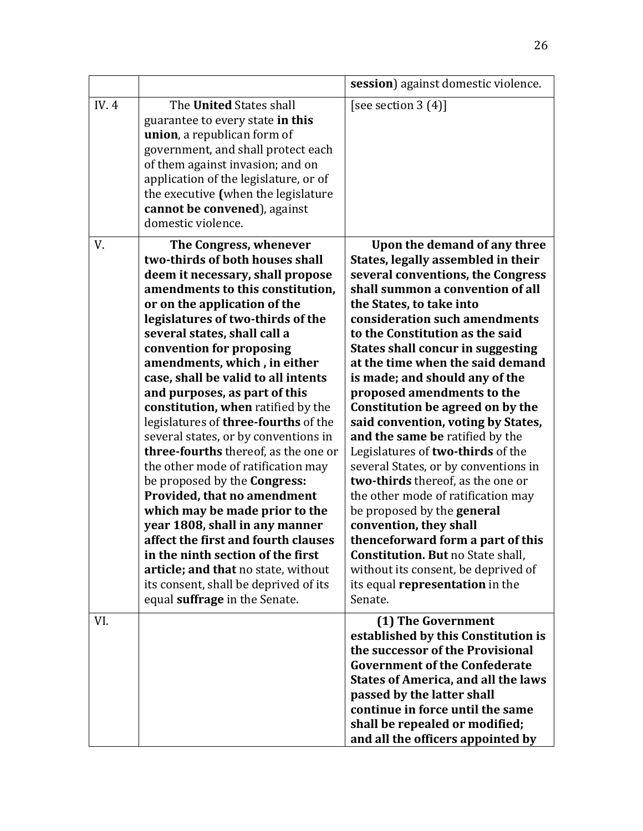|       |                                                                                                                                                                                                                                                                                                                                                                                                                                                                                                                                                                                                                                                                                                                                                                                                                                                                                                                       | session) against domestic violence.                                                                                                                                                                                                                                                                                                                                                                                                                                                                                                                                                                                                                                                                                                                                                                                                                                                                   |
|-------|-----------------------------------------------------------------------------------------------------------------------------------------------------------------------------------------------------------------------------------------------------------------------------------------------------------------------------------------------------------------------------------------------------------------------------------------------------------------------------------------------------------------------------------------------------------------------------------------------------------------------------------------------------------------------------------------------------------------------------------------------------------------------------------------------------------------------------------------------------------------------------------------------------------------------|-------------------------------------------------------------------------------------------------------------------------------------------------------------------------------------------------------------------------------------------------------------------------------------------------------------------------------------------------------------------------------------------------------------------------------------------------------------------------------------------------------------------------------------------------------------------------------------------------------------------------------------------------------------------------------------------------------------------------------------------------------------------------------------------------------------------------------------------------------------------------------------------------------|
| IV. 4 | The United States shall<br>guarantee to every state in this<br>union, a republican form of<br>government, and shall protect each<br>of them against invasion; and on<br>application of the legislature, or of<br>the executive (when the legislature<br>cannot be convened), against<br>domestic violence.                                                                                                                                                                                                                                                                                                                                                                                                                                                                                                                                                                                                            | [see section $3(4)$ ]                                                                                                                                                                                                                                                                                                                                                                                                                                                                                                                                                                                                                                                                                                                                                                                                                                                                                 |
| V.    | The Congress, whenever<br>two-thirds of both houses shall<br>deem it necessary, shall propose<br>amendments to this constitution,<br>or on the application of the<br>legislatures of two-thirds of the<br>several states, shall call a<br>convention for proposing<br>amendments, which, in either<br>case, shall be valid to all intents<br>and purposes, as part of this<br>constitution, when ratified by the<br>legislatures of three-fourths of the<br>several states, or by conventions in<br>three-fourths thereof, as the one or<br>the other mode of ratification may<br>be proposed by the <b>Congress:</b><br>Provided, that no amendment<br>which may be made prior to the<br>year 1808, shall in any manner<br>affect the first and fourth clauses<br>in the ninth section of the first<br>article; and that no state, without<br>its consent, shall be deprived of its<br>equal suffrage in the Senate. | Upon the demand of any three<br>States, legally assembled in their<br>several conventions, the Congress<br>shall summon a convention of all<br>the States, to take into<br>consideration such amendments<br>to the Constitution as the said<br><b>States shall concur in suggesting</b><br>at the time when the said demand<br>is made; and should any of the<br>proposed amendments to the<br>Constitution be agreed on by the<br>said convention, voting by States,<br>and the same be ratified by the<br>Legislatures of two-thirds of the<br>several States, or by conventions in<br>two-thirds thereof, as the one or<br>the other mode of ratification may<br>be proposed by the <b>general</b><br>convention, they shall<br>thenceforward form a part of this<br><b>Constitution. But no State shall,</b><br>without its consent, be deprived of<br>its equal representation in the<br>Senate. |
| VI.   |                                                                                                                                                                                                                                                                                                                                                                                                                                                                                                                                                                                                                                                                                                                                                                                                                                                                                                                       | (1) The Government<br>established by this Constitution is<br>the successor of the Provisional<br><b>Government of the Confederate</b><br><b>States of America, and all the laws</b><br>passed by the latter shall<br>continue in force until the same<br>shall be repealed or modified;<br>and all the officers appointed by                                                                                                                                                                                                                                                                                                                                                                                                                                                                                                                                                                          |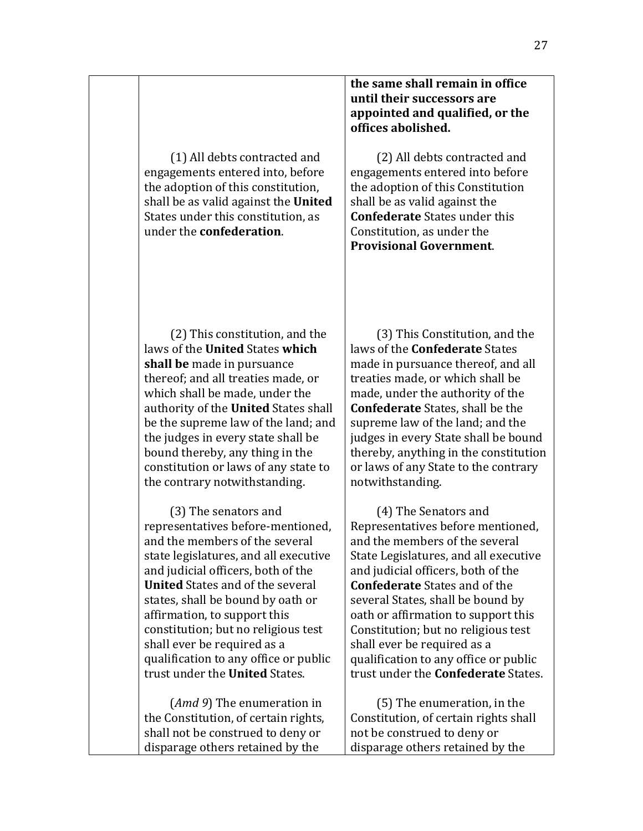(1) All debts contracted and engagements entered into, before the adoption of this constitution, shall be as valid against the **United** States under this constitution, as under the **confederation**.

## **the same shall remain in office until their successors are**  appointed and qualified, or the **offices abolished.**

(2) All debts contracted and engagements entered into before the adoption of this Constitution shall be as valid against the **Confederate** States under this Constitution, as under the **Provisional Government**.

(2) This constitution, and the laws of the **United** States **which shall be** made in pursuance thereof; and all treaties made, or which shall be made, under the authority of the **United** States shall be the supreme law of the land; and the judges in every state shall be bound thereby, any thing in the constitution or laws of any state to the contrary notwithstanding.

(3) The senators and representatives before-mentioned. and the members of the several state legislatures, and all executive and iudicial officers, both of the **United** States and of the several states, shall be bound by oath or affirmation, to support this constitution; but no religious test shall ever be required as a qualification to any office or public trust under the **United** States.

(*Amd* 9) The enumeration in the Constitution, of certain rights, shall not be construed to deny or disparage others retained by the

(3) This Constitution, and the laws of the **Confederate** States made in pursuance thereof, and all treaties made, or which shall be made, under the authority of the **Confederate** States, shall be the supreme law of the land; and the judges in every State shall be bound thereby, anything in the constitution or laws of any State to the contrary notwithstanding.

(4) The Senators and Representatives before mentioned. and the members of the several State Legislatures, and all executive and iudicial officers, both of the **Confederate** States and of the several States, shall be bound by oath or affirmation to support this Constitution; but no religious test shall ever be required as a qualification to any office or public trust under the **Confederate** States.

(5) The enumeration, in the Constitution, of certain rights shall not be construed to deny or disparage others retained by the